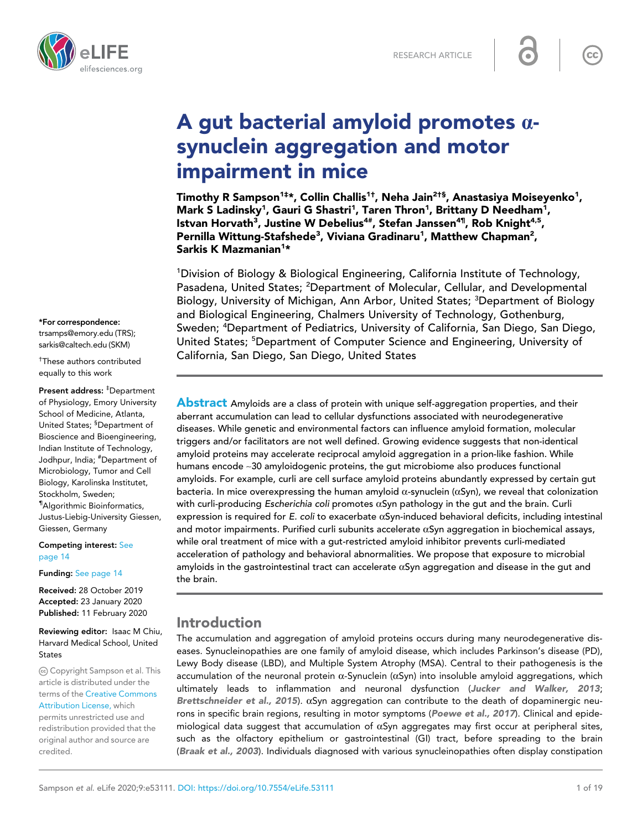

# A gut bacterial amyloid promotes  $\alpha$ synuclein aggregation and motor impairment in mice

Timothy R Sampson<sup>1‡</sup>\*, Collin Challis<sup>1†</sup>, Neha Jain<sup>2†§</sup>, Anastasiya Moiseyenko<sup>1</sup>, Mark S Ladinsky<sup>1</sup>, Gauri G Shastri<sup>1</sup>, Taren Thron<sup>1</sup>, Brittany D Needham<sup>1</sup>, lstvan Horvath<sup>3</sup>, Justine W Debelius<sup>4#</sup>, Stefan Janssen<sup>4¶</sup>, Rob Knight<sup>4,5</sup>, Pernilla Wittung-Stafshede<sup>3</sup>, Viviana Gradinaru<sup>1</sup>, Matthew Chapman<sup>2</sup>, Sarkis K Mazmanian<sup>1</sup>\*

<sup>1</sup>Division of Biology & Biological Engineering, California Institute of Technology, Pasadena, United States; <sup>2</sup>Department of Molecular, Cellular, and Developmental Biology, University of Michigan, Ann Arbor, United States; <sup>3</sup>Department of Biology and Biological Engineering, Chalmers University of Technology, Gothenburg, Sweden; <sup>4</sup>Department of Pediatrics, University of California, San Diego, San Diego, United States; <sup>5</sup>Department of Computer Science and Engineering, University of California, San Diego, San Diego, United States

**Abstract** Amyloids are a class of protein with unique self-aggregation properties, and their aberrant accumulation can lead to cellular dysfunctions associated with neurodegenerative diseases. While genetic and environmental factors can influence amyloid formation, molecular triggers and/or facilitators are not well defined. Growing evidence suggests that non-identical amyloid proteins may accelerate reciprocal amyloid aggregation in a prion-like fashion. While humans encode ~30 amyloidogenic proteins, the gut microbiome also produces functional amyloids. For example, curli are cell surface amyloid proteins abundantly expressed by certain gut bacteria. In mice overexpressing the human amyloid  $\alpha$ -synuclein ( $\alpha$ Syn), we reveal that colonization with curli-producing Escherichia coli promotes  $\alpha$ Syn pathology in the gut and the brain. Curli expression is required for E. coli to exacerbate  $\alpha$ Syn-induced behavioral deficits, including intestinal and motor impairments. Purified curli subunits accelerate  $\alpha$ Syn aggregation in biochemical assays, while oral treatment of mice with a gut-restricted amyloid inhibitor prevents curli-mediated acceleration of pathology and behavioral abnormalities. We propose that exposure to microbial amyloids in the gastrointestinal tract can accelerate  $\alpha$ Syn aggregation and disease in the gut and the brain.

## Introduction

The accumulation and aggregation of amyloid proteins occurs during many neurodegenerative diseases. Synucleinopathies are one family of amyloid disease, which includes Parkinson's disease (PD), Lewy Body disease (LBD), and Multiple System Atrophy (MSA). Central to their pathogenesis is the accumulation of the neuronal protein  $\alpha$ -Synuclein ( $\alpha$ Syn) into insoluble amyloid aggregations, which ultimately leads to inflammation and neuronal dysfunction (Jucker and Walker, 2013; Brettschneider et al., 2015).  $\alpha$ Syn aggregation can contribute to the death of dopaminergic neurons in specific brain regions, resulting in motor symptoms (Poewe et al., 2017). Clinical and epidemiological data suggest that accumulation of  $\alpha$ Syn aggregates may first occur at peripheral sites, such as the olfactory epithelium or gastrointestinal (GI) tract, before spreading to the brain (Braak et al., 2003). Individuals diagnosed with various synucleinopathies often display constipation

#### \*For correspondence:

trsamps@emory.edu (TRS); sarkis@caltech.edu (SKM)

† These authors contributed equally to this work

Present address: ‡Department of Physiology, Emory University School of Medicine, Atlanta, United States; <sup>§</sup>Department of Bioscience and Bioengineering, Indian Institute of Technology, Jodhpur, India; #Department of Microbiology, Tumor and Cell Biology, Karolinska Institutet, Stockholm, Sweden; ¶Algorithmic Bioinformatics, Justus-Liebig-University Giessen, Giessen, Germany

Competing interest: See page 14

Funding: See page 14

Received: 28 October 2019 Accepted: 23 January 2020 Published: 11 February 2020

Reviewing editor: Isaac M Chiu, Harvard Medical School, United States

Copyright Sampson et al. This article is distributed under the terms of the Creative Commons Attribution License, which permits unrestricted use and redistribution provided that the

original author and source are

credited.

 $cc$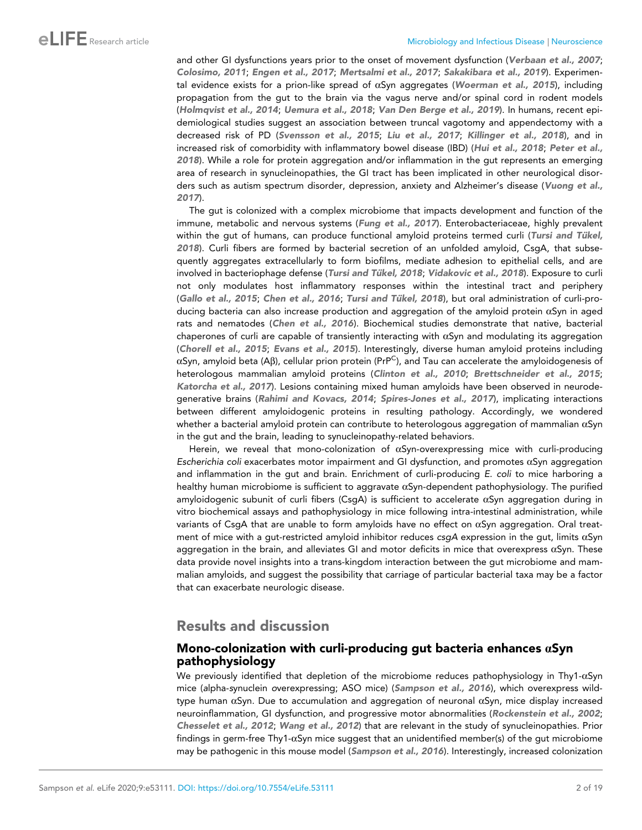and other GI dysfunctions years prior to the onset of movement dysfunction (Verbaan et al., 2007; Colosimo, 2011; Engen et al., 2017; Mertsalmi et al., 2017; Sakakibara et al., 2019). Experimental evidence exists for a prion-like spread of  $\alpha$ Syn aggregates (Woerman et al., 2015), including propagation from the gut to the brain via the vagus nerve and/or spinal cord in rodent models (Holmqvist et al., 2014; Uemura et al., 2018; Van Den Berge et al., 2019). In humans, recent epidemiological studies suggest an association between truncal vagotomy and appendectomy with a decreased risk of PD (Svensson et al., 2015; Liu et al., 2017; Killinger et al., 2018), and in increased risk of comorbidity with inflammatory bowel disease (IBD) (Hui et al., 2018; Peter et al., 2018). While a role for protein aggregation and/or inflammation in the gut represents an emerging area of research in synucleinopathies, the GI tract has been implicated in other neurological disorders such as autism spectrum disorder, depression, anxiety and Alzheimer's disease (Vuong et al., 2017).

The gut is colonized with a complex microbiome that impacts development and function of the immune, metabolic and nervous systems (Fung et al., 2017). Enterobacteriaceae, highly prevalent within the gut of humans, can produce functional amyloid proteins termed curli (Tursi and Tükel, 2018). Curli fibers are formed by bacterial secretion of an unfolded amyloid, CsgA, that subsequently aggregates extracellularly to form biofilms, mediate adhesion to epithelial cells, and are involved in bacteriophage defense (Tursi and Tükel, 2018; Vidakovic et al., 2018). Exposure to curli not only modulates host inflammatory responses within the intestinal tract and periphery (Gallo et al., 2015; Chen et al., 2016; Tursi and Tükel, 2018), but oral administration of curli-producing bacteria can also increase production and aggregation of the amyloid protein  $\alpha$ Syn in aged rats and nematodes (Chen et al., 2016). Biochemical studies demonstrate that native, bacterial chaperones of curli are capable of transiently interacting with  $\alpha$ Syn and modulating its aggregation (Chorell et al., 2015; Evans et al., 2015). Interestingly, diverse human amyloid proteins including  $\alpha$ Syn, amyloid beta (Aß), cellular prion protein (PrP<sup>C</sup>), and Tau can accelerate the amyloidogenesis of heterologous mammalian amyloid proteins (Clinton et al., 2010; Brettschneider et al., 2015; Katorcha et al., 2017). Lesions containing mixed human amyloids have been observed in neurodegenerative brains (Rahimi and Kovacs, 2014; Spires-Jones et al., 2017), implicating interactions between different amyloidogenic proteins in resulting pathology. Accordingly, we wondered whether a bacterial amyloid protein can contribute to heterologous aggregation of mammalian  $\alpha$ Syn in the gut and the brain, leading to synucleinopathy-related behaviors.

Herein, we reveal that mono-colonization of  $\alpha$ Syn-overexpressing mice with curli-producing *Escherichia coli* exacerbates motor impairment and GI dysfunction, and promotes aSyn aggregation and inflammation in the gut and brain. Enrichment of curli-producing *E. coli* to mice harboring a healthy human microbiome is sufficient to aggravate  $\alpha$ Syn-dependent pathophysiology. The purified amyloidogenic subunit of curli fibers (CsgA) is sufficient to accelerate  $\alpha$ Syn aggregation during in vitro biochemical assays and pathophysiology in mice following intra-intestinal administration, while variants of CsgA that are unable to form amyloids have no effect on  $\alpha$ Syn aggregation. Oral treatment of mice with a gut-restricted amyloid inhibitor reduces  $csgA$  expression in the gut, limits  $\alpha$ Syn aggregation in the brain, and alleviates GI and motor deficits in mice that overexpress  $\alpha$ Syn. These data provide novel insights into a trans-kingdom interaction between the gut microbiome and mammalian amyloids, and suggest the possibility that carriage of particular bacterial taxa may be a factor that can exacerbate neurologic disease.

## Results and discussion

#### Mono-colonization with curli-producing gut bacteria enhances  $\alpha$ Syn pathophysiology

We previously identified that depletion of the microbiome reduces pathophysiology in Thy1- $\alpha$ Syn mice (*a*lpha-*s*ynuclein *o*verexpressing; ASO mice) (Sampson et al., 2016), which overexpress wildtype human  $\alpha$ Syn. Due to accumulation and aggregation of neuronal  $\alpha$ Syn, mice display increased neuroinflammation, GI dysfunction, and progressive motor abnormalities (Rockenstein et al., 2002; Chesselet et al., 2012; Wang et al., 2012) that are relevant in the study of synucleinopathies. Prior findings in germ-free Thy1-aSyn mice suggest that an unidentified member(s) of the gut microbiome may be pathogenic in this mouse model (Sampson et al., 2016). Interestingly, increased colonization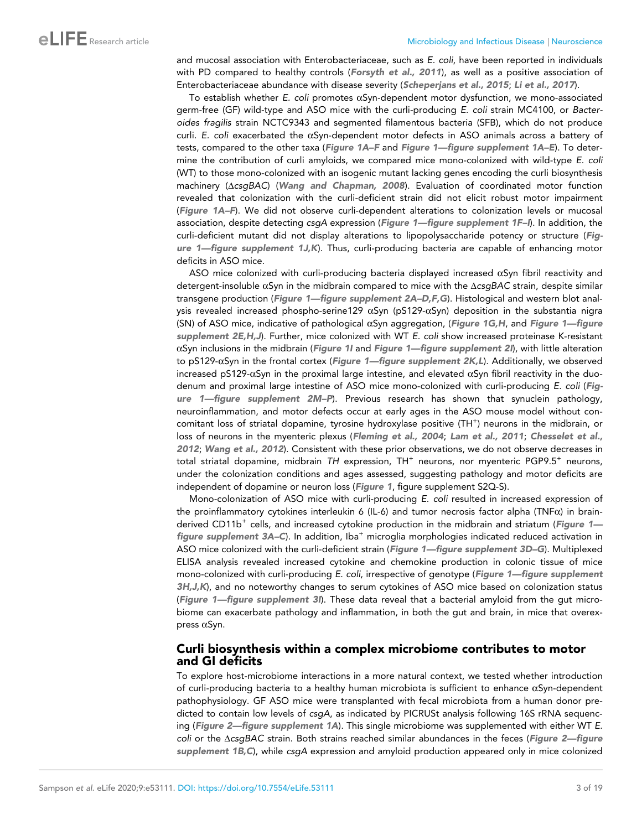and mucosal association with Enterobacteriaceae, such as *E. coli*, have been reported in individuals with PD compared to healthy controls (Forsyth et al., 2011), as well as a positive association of Enterobacteriaceae abundance with disease severity (Scheperjans et al., 2015; Li et al., 2017).

To establish whether *E. coli* promotes aSyn-dependent motor dysfunction, we mono-associated germ-free (GF) wild-type and ASO mice with the curli-producing *E. coli* strain MC4100, or *Bacteroides fragilis* strain NCTC9343 and segmented filamentous bacteria (SFB), which do not produce curli. *E. coli* exacerbated the aSyn-dependent motor defects in ASO animals across a battery of tests, compared to the other taxa (Figure 1A-F and Figure 1—figure supplement 1A-E). To determine the contribution of curli amyloids, we compared mice mono-colonized with wild-type *E. coli* (WT) to those mono-colonized with an isogenic mutant lacking genes encoding the curli biosynthesis machinery ( $\triangle$ csgBAC) (Wang and Chapman, 2008). Evaluation of coordinated motor function revealed that colonization with the curli-deficient strain did not elicit robust motor impairment (Figure 1A–F). We did not observe curli-dependent alterations to colonization levels or mucosal association, despite detecting *csgA* expression (Figure 1—figure supplement 1F–I). In addition, the curli-deficient mutant did not display alterations to lipopolysaccharide potency or structure (Figure 1—figure supplement 1J,K). Thus, curli-producing bacteria are capable of enhancing motor deficits in ASO mice.

ASO mice colonized with curli-producing bacteria displayed increased  $\alpha$ Syn fibril reactivity and detergent-insoluble aSyn in the midbrain compared to mice with the D*csgBAC* strain, despite similar transgene production (Figure 1—figure supplement 2A-D,F,G). Histological and western blot analysis revealed increased phospho-serine129  $\alpha$ Syn (pS129- $\alpha$ Syn) deposition in the substantia nigra (SN) of ASO mice, indicative of pathological  $\alpha$ Syn aggregation, (Figure 1G,H, and Figure 1—figure supplement 2E,H,J). Further, mice colonized with WT *E. coli* show increased proteinase K-resistant  $\alpha$ Syn inclusions in the midbrain (Figure 1I and Figure 1—figure supplement 2I), with little alteration to pS129- $\alpha$ Syn in the frontal cortex (Figure 1—figure supplement 2K,L). Additionally, we observed increased pS129- $\alpha$ Syn in the proximal large intestine, and elevated  $\alpha$ Syn fibril reactivity in the duodenum and proximal large intestine of ASO mice mono-colonized with curli-producing *E. coli* (Figure 1—figure supplement 2M–P). Previous research has shown that synuclein pathology, neuroinflammation, and motor defects occur at early ages in the ASO mouse model without concomitant loss of striatal dopamine, tyrosine hydroxylase positive (TH<sup>+</sup>) neurons in the midbrain, or loss of neurons in the myenteric plexus (Fleming et al., 2004; Lam et al., 2011; Chesselet et al., 2012; Wang et al., 2012). Consistent with these prior observations, we do not observe decreases in total striatal dopamine, midbrain TH expression, TH<sup>+</sup> neurons, nor myenteric PGP9.5<sup>+</sup> neurons, under the colonization conditions and ages assessed, suggesting pathology and motor deficits are independent of dopamine or neuron loss (Figure 1, figure supplement S2Q-S).

Mono-colonization of ASO mice with curli-producing *E. coli* resulted in increased expression of the proinflammatory cytokines interleukin 6 (IL-6) and tumor necrosis factor alpha (TNF $\alpha$ ) in brainderived CD11b<sup>+</sup> cells, and increased cytokine production in the midbrain and striatum (Figure 1– figure supplement 3A–C). In addition, Iba<sup>+</sup> microglia morphologies indicated reduced activation in ASO mice colonized with the curli-deficient strain (Figure 1—figure supplement 3D–G). Multiplexed ELISA analysis revealed increased cytokine and chemokine production in colonic tissue of mice mono-colonized with curli-producing *E. coli*, irrespective of genotype (Figure 1—figure supplement 3H, J, K), and no noteworthy changes to serum cytokines of ASO mice based on colonization status (Figure 1—figure supplement 3I). These data reveal that a bacterial amyloid from the gut microbiome can exacerbate pathology and inflammation, in both the gut and brain, in mice that overexpress  $\alpha$ Syn.

#### Curli biosynthesis within a complex microbiome contributes to motor and GI deficits

To explore host-microbiome interactions in a more natural context, we tested whether introduction of curli-producing bacteria to a healthy human microbiota is sufficient to enhance  $\alpha$ Syn-dependent pathophysiology. GF ASO mice were transplanted with fecal microbiota from a human donor predicted to contain low levels of *csgA*, as indicated by PICRUSt analysis following 16S rRNA sequencing (Figure 2—figure supplement 1A). This single microbiome was supplemented with either WT *E. coli* or the ΔcsgBAC strain. Both strains reached similar abundances in the feces (Figure 2—figure supplement 1B,C), while *csgA* expression and amyloid production appeared only in mice colonized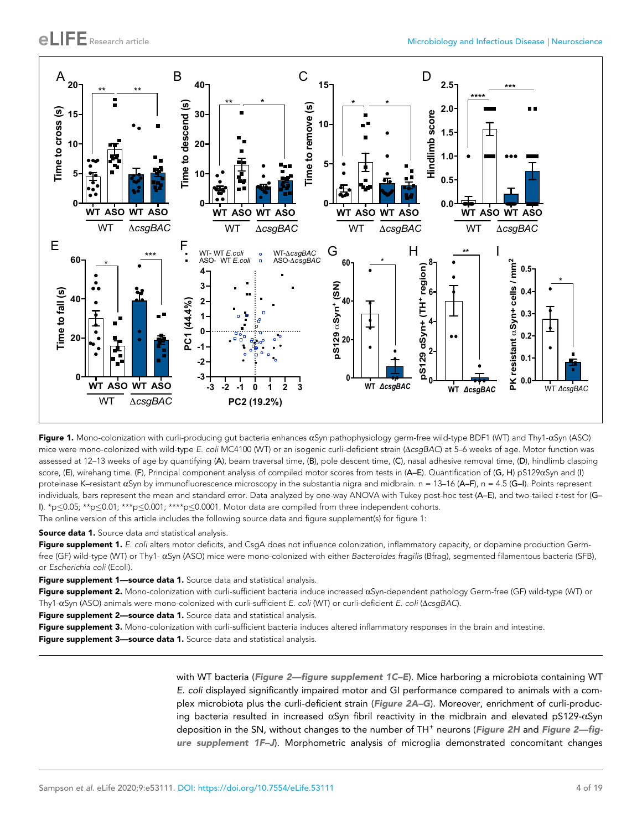

Figure 1. Mono-colonization with curli-producing gut bacteria enhances  $\alpha$ Syn pathophysiology germ-free wild-type BDF1 (WT) and Thy1- $\alpha$ Syn (ASO) mice were mono-colonized with wild-type *E. coli* MC4100 (WT) or an isogenic curli-deficient strain ( $\triangle csgBAC$ ) at 5-6 weeks of age. Motor function was assessed at 12–13 weeks of age by quantifying (A), beam traversal time, (B), pole descent time, (C), nasal adhesive removal time, (D), hindlimb clasping score, (E), wirehang time. (F), Principal component analysis of compiled motor scores from tests in (A–E). Quantification of (G, H) pS129aSyn and (I) proteinase K–resistant  $\alpha$ Syn by immunofluorescence microscopy in the substantia nigra and midbrain. n = 13–16 (A–F), n = 4.5 (G–I). Points represent individuals, bars represent the mean and standard error. Data analyzed by one-way ANOVA with Tukey post-hoc test (A–E), and two-tailed *t-*test for (G– I). \*p $\leq 0.05$ ; \*\*p $\leq 0.01$ ; \*\*\*p $\leq 0.001$ ; \*\*\*\*p $\leq 0.0001$ . Motor data are compiled from three independent cohorts.

The online version of this article includes the following source data and figure supplement(s) for figure 1:

Source data 1. Source data and statistical analysis.

Figure supplement 1. E. coli alters motor deficits, and CsgA does not influence colonization, inflammatory capacity, or dopamine production Germfree (GF) wild-type (WT) or Thy1- aSyn (ASO) mice were mono-colonized with either *Bacteroides fragilis* (Bfrag), segmented filamentous bacteria (SFB), or *Escherichia coli* (Ecoli).

Figure supplement 1-source data 1. Source data and statistical analysis.

Figure supplement 2. Mono-colonization with curli-sufficient bacteria induce increased  $\alpha$ Syn-dependent pathology Germ-free (GF) wild-type (WT) or Thy1-aSyn (ASO) animals were mono-colonized with curli-sufficient *E. coli* (WT) or curli-deficient *E. coli* (D*csgBAC*).

Figure supplement 2-source data 1. Source data and statistical analysis.

Figure supplement 3. Mono-colonization with curli-sufficient bacteria induces altered inflammatory responses in the brain and intestine.

Figure supplement 3-source data 1. Source data and statistical analysis.

with WT bacteria (Figure 2—figure supplement 1C-E). Mice harboring a microbiota containing WT *E. coli* displayed significantly impaired motor and GI performance compared to animals with a complex microbiota plus the curli-deficient strain (Figure 2A–G). Moreover, enrichment of curli-producing bacteria resulted in increased  $\alpha$ Syn fibril reactivity in the midbrain and elevated pS129- $\alpha$ Syn deposition in the SN, without changes to the number of TH<sup>+</sup> neurons (Figure 2H and Figure 2—figure supplement 1F–J). Morphometric analysis of microglia demonstrated concomitant changes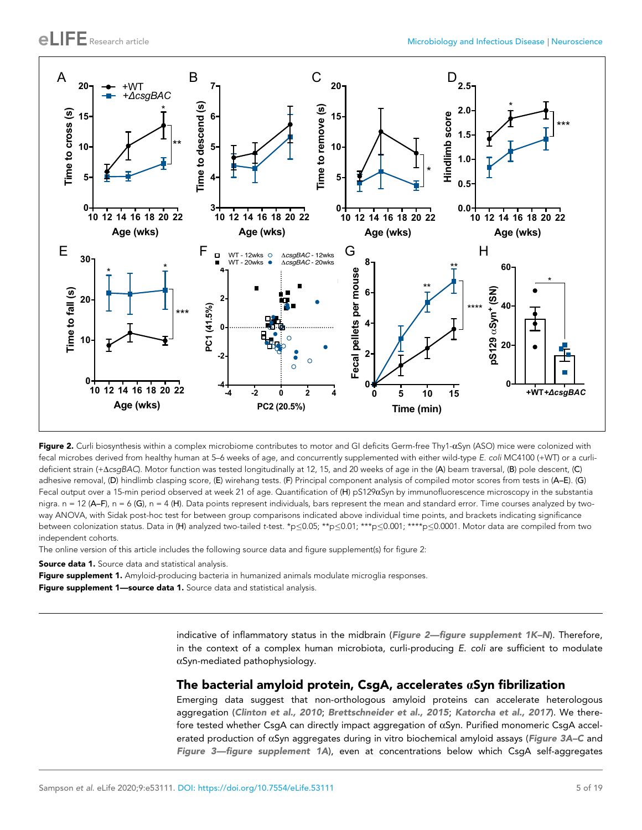

Figure 2. Curli biosynthesis within a complex microbiome contributes to motor and GI deficits Germ-free Thy1- $\alpha$ Syn (ASO) mice were colonized with fecal microbes derived from healthy human at 5–6 weeks of age, and concurrently supplemented with either wild-type *E. coli* MC4100 (+WT) or a curlideficient strain (+D*csgBAC*). Motor function was tested longitudinally at 12, 15, and 20 weeks of age in the (A) beam traversal, (B) pole descent, (C) adhesive removal, (D) hindlimb clasping score, (E) wirehang tests. (F) Principal component analysis of compiled motor scores from tests in (A–E). (G) Fecal output over a 15-min period observed at week 21 of age. Quantification of  $(H)$  pS129 $\alpha$ Syn by immunofluorescence microscopy in the substantia nigra.  $n = 12$  (A–F),  $n = 6$  (G),  $n = 4$  (H). Data points represent individuals, bars represent the mean and standard error. Time courses analyzed by twoway ANOVA, with Sidak post-hoc test for between group comparisons indicated above individual time points, and brackets indicating significance between colonization status. Data in (H) analyzed two-tailed *t-test.* \*p<0.05; \*\*p<0.01; \*\*\*p<0.001; \*\*\*p<0.0001. Motor data are compiled from two independent cohorts.

The online version of this article includes the following source data and figure supplement(s) for figure 2:

**Source data 1.** Source data and statistical analysis.

Figure supplement 1. Amyloid-producing bacteria in humanized animals modulate microglia responses. Figure supplement 1-source data 1. Source data and statistical analysis.

> indicative of inflammatory status in the midbrain (Figure 2-figure supplement 1K-N). Therefore, in the context of a complex human microbiota, curli-producing *E. coli* are sufficient to modulate  $\alpha$ Syn-mediated pathophysiology.

#### The bacterial amyloid protein, CsgA, accelerates  $\alpha$ Syn fibrilization

Emerging data suggest that non-orthologous amyloid proteins can accelerate heterologous aggregation (Clinton et al., 2010; Brettschneider et al., 2015; Katorcha et al., 2017). We therefore tested whether CsgA can directly impact aggregation of  $\alpha$ Syn. Purified monomeric CsgA accelerated production of  $\alpha$ Syn aggregates during in vitro biochemical amyloid assays (Figure 3A–C and Figure 3—figure supplement 1A), even at concentrations below which CsgA self-aggregates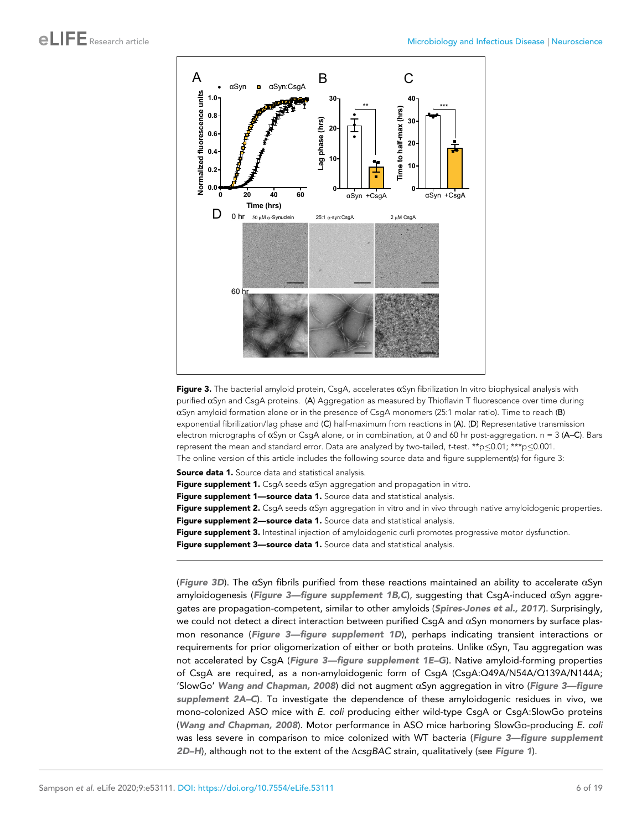

Figure 3. The bacterial amyloid protein, CsgA, accelerates  $\alpha$ Syn fibrilization In vitro biophysical analysis with purified  $\alpha$ Syn and CsgA proteins. (A) Aggregation as measured by Thioflavin T fluorescence over time during  $\alpha$ Syn amyloid formation alone or in the presence of CsqA monomers (25:1 molar ratio). Time to reach (B) exponential fibrilization/lag phase and (C) half-maximum from reactions in (A). (D) Representative transmission electron micrographs of aSyn or CsgA alone, or in combination, at 0 and 60 hr post-aggregation. n = 3 (A–C). Bars represent the mean and standard error. Data are analyzed by two-tailed, *t*-test. \*\*p $\leq$ 0.01; \*\*\*p $\leq$ 0.001. The online version of this article includes the following source data and figure supplement(s) for figure 3:

Source data 1. Source data and statistical analysis.

Figure supplement 1. CsgA seeds  $\alpha$ Syn aggregation and propagation in vitro.

Figure supplement 1-source data 1. Source data and statistical analysis.

Figure supplement 2. CsgA seeds  $\alpha$ Syn aggregation in vitro and in vivo through native amyloidogenic properties.

Figure supplement 2-source data 1. Source data and statistical analysis.

Figure supplement 3. Intestinal injection of amyloidogenic curli promotes progressive motor dysfunction.

Figure supplement 3-source data 1. Source data and statistical analysis.

(Figure 3D). The  $\alpha$ Syn fibrils purified from these reactions maintained an ability to accelerate  $\alpha$ Syn amyloidogenesis (Figure 3-figure supplement 1B, C), suggesting that CsgA-induced  $\alpha$ Syn aggregates are propagation-competent, similar to other amyloids (Spires-Jones et al., 2017). Surprisingly, we could not detect a direct interaction between purified CsgA and  $\alpha$ Syn monomers by surface plasmon resonance (Figure 3-figure supplement 1D), perhaps indicating transient interactions or requirements for prior oligomerization of either or both proteins. Unlike aSyn, Tau aggregation was not accelerated by CsgA (Figure 3—figure supplement 1E–G). Native amyloid-forming properties of CsgA are required, as a non-amyloidogenic form of CsgA (CsgA:Q49A/N54A/Q139A/N144A; 'SlowGo' Wang and Chapman, 2008) did not augment  $\alpha$ Syn aggregation in vitro (Figure 3—figure supplement 2A–C). To investigate the dependence of these amyloidogenic residues in vivo, we mono-colonized ASO mice with *E. coli* producing either wild-type CsgA or CsgA:SlowGo proteins (Wang and Chapman, 2008). Motor performance in ASO mice harboring SlowGo-producing *E. coli* was less severe in comparison to mice colonized with WT bacteria (Figure 3-figure supplement 2D–H), although not to the extent of the ∆csgBAC strain, qualitatively (see Figure 1).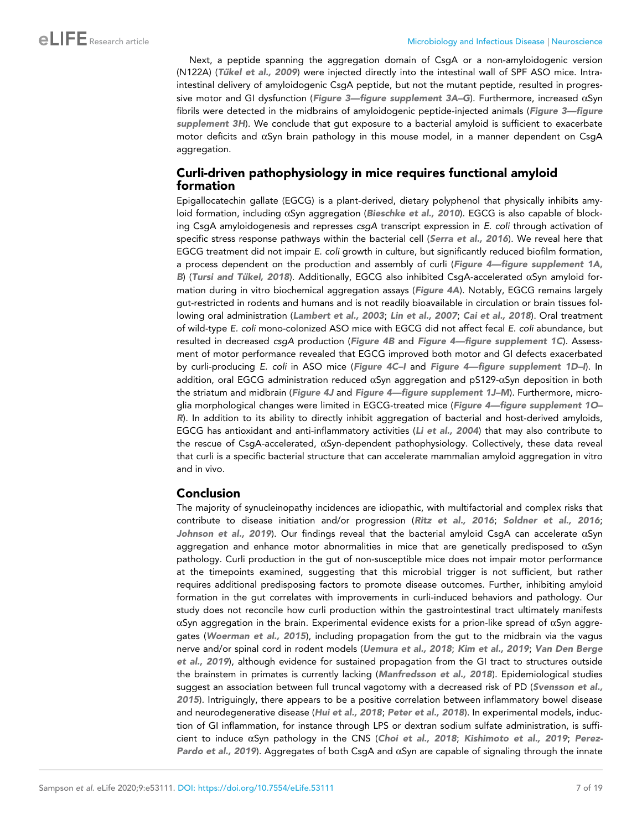Next, a peptide spanning the aggregation domain of CsgA or a non-amyloidogenic version (N122A) (Tükel et al., 2009) were injected directly into the intestinal wall of SPF ASO mice. Intraintestinal delivery of amyloidogenic CsgA peptide, but not the mutant peptide, resulted in progressive motor and GI dysfunction (Figure 3-figure supplement 3A-G). Furthermore, increased  $\alpha Sym$ fibrils were detected in the midbrains of amyloidogenic peptide-injected animals (Figure 3—figure supplement 3H). We conclude that gut exposure to a bacterial amyloid is sufficient to exacerbate motor deficits and  $\alpha$ Syn brain pathology in this mouse model, in a manner dependent on CsgA aggregation.

## Curli-driven pathophysiology in mice requires functional amyloid formation

Epigallocatechin gallate (EGCG) is a plant-derived, dietary polyphenol that physically inhibits amyloid formation, including  $\alpha$ Syn aggregation (Bieschke et al., 2010). EGCG is also capable of blocking CsgA amyloidogenesis and represses *csgA* transcript expression in *E. coli* through activation of specific stress response pathways within the bacterial cell (Serra et al., 2016). We reveal here that EGCG treatment did not impair *E. coli* growth in culture, but significantly reduced biofilm formation, a process dependent on the production and assembly of curli (Figure 4—figure supplement 1A, B) (Tursi and Tükel, 2018). Additionally, EGCG also inhibited CsgA-accelerated  $\alpha$ Syn amyloid formation during in vitro biochemical aggregation assays (Figure 4A). Notably, EGCG remains largely gut-restricted in rodents and humans and is not readily bioavailable in circulation or brain tissues following oral administration (Lambert et al., 2003; Lin et al., 2007; Cai et al., 2018). Oral treatment of wild-type *E. coli* mono-colonized ASO mice with EGCG did not affect fecal *E. coli* abundance, but resulted in decreased *csgA* production (Figure 4B and Figure 4—figure supplement 1C). Assessment of motor performance revealed that EGCG improved both motor and GI defects exacerbated by curli-producing *E. coli* in ASO mice (Figure 4C–I and Figure 4—figure supplement 1D–I). In addition, oral EGCG administration reduced  $\alpha$ Syn aggregation and pS129- $\alpha$ Syn deposition in both the striatum and midbrain (Figure 4J and Figure 4—figure supplement 1J-M). Furthermore, microglia morphological changes were limited in EGCG-treated mice (Figure 4—figure supplement 1O– R). In addition to its ability to directly inhibit aggregation of bacterial and host-derived amyloids, EGCG has antioxidant and anti-inflammatory activities (Li et al., 2004) that may also contribute to the rescue of CsgA-accelerated, aSyn-dependent pathophysiology. Collectively, these data reveal that curli is a specific bacterial structure that can accelerate mammalian amyloid aggregation in vitro and in vivo.

## Conclusion

The majority of synucleinopathy incidences are idiopathic, with multifactorial and complex risks that contribute to disease initiation and/or progression (Ritz et al., 2016; Soldner et al., 2016; Johnson et al., 2019). Our findings reveal that the bacterial amyloid CsgA can accelerate  $\alpha$ Syn aggregation and enhance motor abnormalities in mice that are genetically predisposed to  $\alpha$ Syn pathology. Curli production in the gut of non-susceptible mice does not impair motor performance at the timepoints examined, suggesting that this microbial trigger is not sufficient, but rather requires additional predisposing factors to promote disease outcomes. Further, inhibiting amyloid formation in the gut correlates with improvements in curli-induced behaviors and pathology. Our study does not reconcile how curli production within the gastrointestinal tract ultimately manifests  $\alpha$ Syn aggregation in the brain. Experimental evidence exists for a prion-like spread of  $\alpha$ Syn aggregates (Woerman et al., 2015), including propagation from the gut to the midbrain via the vagus nerve and/or spinal cord in rodent models (Uemura et al., 2018; Kim et al., 2019; Van Den Berge et al., 2019), although evidence for sustained propagation from the GI tract to structures outside the brainstem in primates is currently lacking (Manfredsson et al., 2018). Epidemiological studies suggest an association between full truncal vagotomy with a decreased risk of PD (Svensson et al., 2015). Intriguingly, there appears to be a positive correlation between inflammatory bowel disease and neurodegenerative disease (Hui et al., 2018; Peter et al., 2018). In experimental models, induction of GI inflammation, for instance through LPS or dextran sodium sulfate administration, is sufficient to induce  $\alpha$ Syn pathology in the CNS (Choi et al., 2018; Kishimoto et al., 2019; Perez-Pardo et al., 2019). Aggregates of both CsgA and  $\alpha$ Syn are capable of signaling through the innate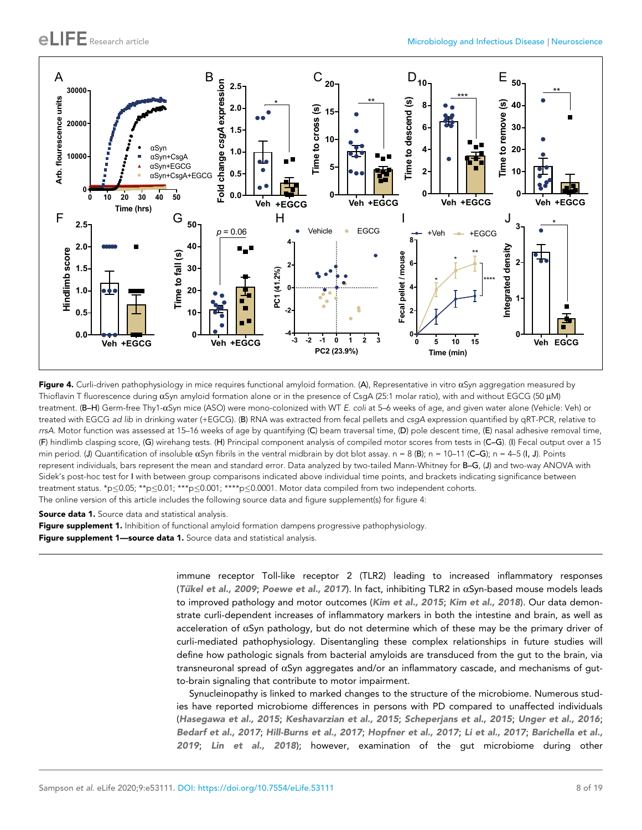

Figure 4. Curli-driven pathophysiology in mice requires functional amyloid formation. (A), Representative in vitro  $\alpha$ Syn aggregation measured by Thioflavin T fluorescence during  $\alpha$ Syn amyloid formation alone or in the presence of CsgA (25:1 molar ratio), with and without EGCG (50 µM) treatment. (B–H) Germ-free Thy1-aSyn mice (ASO) were mono-colonized with WT *E. coli* at 5–6 weeks of age, and given water alone (Vehicle: Veh) or treated with EGCG *ad lib* in drinking water (+EGCG). (B) RNA was extracted from fecal pellets and *csgA* expression quantified by qRT-PCR, relative to *rrsA.* Motor function was assessed at 15–16 weeks of age by quantifying (C) beam traversal time, (D) pole descent time, (E) nasal adhesive removal time, (F) hindlimb clasping score, (G) wirehang tests. (H) Principal component analysis of compiled motor scores from tests in (C–G). (I) Fecal output over a 15 min period. (J) Quantification of insoluble  $\alpha$ Syn fibrils in the ventral midbrain by dot blot assay. n = 8 (B); n = 10-11 (C-G); n = 4-5 (I, J). Points represent individuals, bars represent the mean and standard error. Data analyzed by two-tailed Mann-Whitney for B-G, (J) and two-way ANOVA with Sidek's post-hoc test for I with between group comparisons indicated above individual time points, and brackets indicating significance between treatment status. \*p $\leq$ 0.05; \*\*p $\leq$ 0.01; \*\*\*p $\leq$ 0.001; \*\*\*\*p $\leq$ 0.0001. Motor data compiled from two independent cohorts. The online version of this article includes the following source data and figure supplement(s) for figure 4:

Source data 1. Source data and statistical analysis.

Figure supplement 1. Inhibition of functional amyloid formation dampens progressive pathophysiology.

Figure supplement 1-source data 1. Source data and statistical analysis.

immune receptor Toll-like receptor 2 (TLR2) leading to increased inflammatory responses (Tükel et al., 2009; Poewe et al., 2017). In fact, inhibiting TLR2 in  $\alpha$ Syn-based mouse models leads to improved pathology and motor outcomes (Kim et al., 2015; Kim et al., 2018). Our data demonstrate curli-dependent increases of inflammatory markers in both the intestine and brain, as well as acceleration of  $\alpha$ Syn pathology, but do not determine which of these may be the primary driver of curli-mediated pathophysiology. Disentangling these complex relationships in future studies will define how pathologic signals from bacterial amyloids are transduced from the gut to the brain, via transneuronal spread of aSyn aggregates and/or an inflammatory cascade, and mechanisms of gutto-brain signaling that contribute to motor impairment.

Synucleinopathy is linked to marked changes to the structure of the microbiome. Numerous studies have reported microbiome differences in persons with PD compared to unaffected individuals (Hasegawa et al., 2015; Keshavarzian et al., 2015; Scheperjans et al., 2015; Unger et al., 2016; Bedarf et al., 2017; Hill-Burns et al., 2017; Hopfner et al., 2017; Li et al., 2017; Barichella et al., 2019; Lin et al., 2018); however, examination of the gut microbiome during other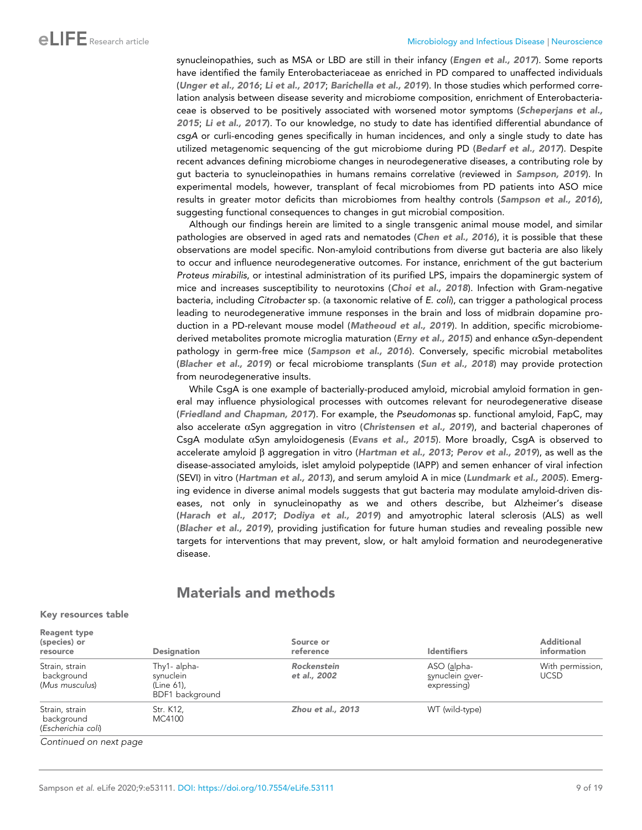synucleinopathies, such as MSA or LBD are still in their infancy (Engen et al., 2017). Some reports have identified the family Enterobacteriaceae as enriched in PD compared to unaffected individuals (Unger et al., 2016; Li et al., 2017; Barichella et al., 2019). In those studies which performed correlation analysis between disease severity and microbiome composition, enrichment of Enterobacteriaceae is observed to be positively associated with worsened motor symptoms (Scheperjans et al., 2015; Li et al., 2017). To our knowledge, no study to date has identified differential abundance of *csgA* or curli-encoding genes specifically in human incidences, and only a single study to date has utilized metagenomic sequencing of the gut microbiome during PD (Bedarf et al., 2017). Despite recent advances defining microbiome changes in neurodegenerative diseases, a contributing role by gut bacteria to synucleinopathies in humans remains correlative (reviewed in Sampson, 2019). In experimental models, however, transplant of fecal microbiomes from PD patients into ASO mice results in greater motor deficits than microbiomes from healthy controls (Sampson et al., 2016), suggesting functional consequences to changes in gut microbial composition.

Although our findings herein are limited to a single transgenic animal mouse model, and similar pathologies are observed in aged rats and nematodes (Chen et al., 2016), it is possible that these observations are model specific. Non-amyloid contributions from diverse gut bacteria are also likely to occur and influence neurodegenerative outcomes. For instance, enrichment of the gut bacterium *Proteus mirabilis*, or intestinal administration of its purified LPS, impairs the dopaminergic system of mice and increases susceptibility to neurotoxins (Choi et al., 2018). Infection with Gram-negative bacteria, including *Citrobacter* sp. (a taxonomic relative of *E. coli*), can trigger a pathological process leading to neurodegenerative immune responses in the brain and loss of midbrain dopamine production in a PD-relevant mouse model (Matheoud et al., 2019). In addition, specific microbiomederived metabolites promote microglia maturation (Erny et al., 2015) and enhance  $\alpha$ Syn-dependent pathology in germ-free mice (Sampson et al., 2016). Conversely, specific microbial metabolites (Blacher et al., 2019) or fecal microbiome transplants (Sun et al., 2018) may provide protection from neurodegenerative insults.

While CsgA is one example of bacterially-produced amyloid, microbial amyloid formation in general may influence physiological processes with outcomes relevant for neurodegenerative disease (Friedland and Chapman, 2017). For example, the *Pseudomonas* sp. functional amyloid, FapC, may also accelerate  $\alpha$ Syn aggregation in vitro (Christensen et al., 2019), and bacterial chaperones of CsgA modulate  $\alpha$ Syn amyloidogenesis (Evans et al., 2015). More broadly, CsgA is observed to accelerate amyloid  $\beta$  aggregation in vitro (Hartman et al., 2013; Perov et al., 2019), as well as the disease-associated amyloids, islet amyloid polypeptide (IAPP) and semen enhancer of viral infection (SEVI) in vitro (Hartman et al., 2013), and serum amyloid A in mice (Lundmark et al., 2005). Emerging evidence in diverse animal models suggests that gut bacteria may modulate amyloid-driven diseases, not only in synucleinopathy as we and others describe, but Alzheimer's disease (Harach et al., 2017; Dodiya et al., 2019) and amyotrophic lateral sclerosis (ALS) as well (Blacher et al., 2019), providing justification for future human studies and revealing possible new targets for interventions that may prevent, slow, or halt amyloid formation and neurodegenerative disease.

## Materials and methods

#### Key resources table

| <b>Reagent type</b><br>(species) or<br>resource    | <b>Designation</b>                                         | Source or<br>reference             | <b>Identifiers</b>                            | <b>Additional</b><br>information |
|----------------------------------------------------|------------------------------------------------------------|------------------------------------|-----------------------------------------------|----------------------------------|
| Strain, strain<br>background<br>(Mus musculus)     | Thy1- alpha-<br>synuclein<br>(Line 61),<br>BDF1 background | <b>Rockenstein</b><br>et al., 2002 | ASO (alpha-<br>synuclein over-<br>expressing) | With permission,<br><b>UCSD</b>  |
| Strain, strain<br>background<br>(Escherichia coli) | Str. K12.<br>MC4100                                        | <b>Zhou et al., 2013</b>           | WT (wild-type)                                |                                  |
| Continued on next page                             |                                                            |                                    |                                               |                                  |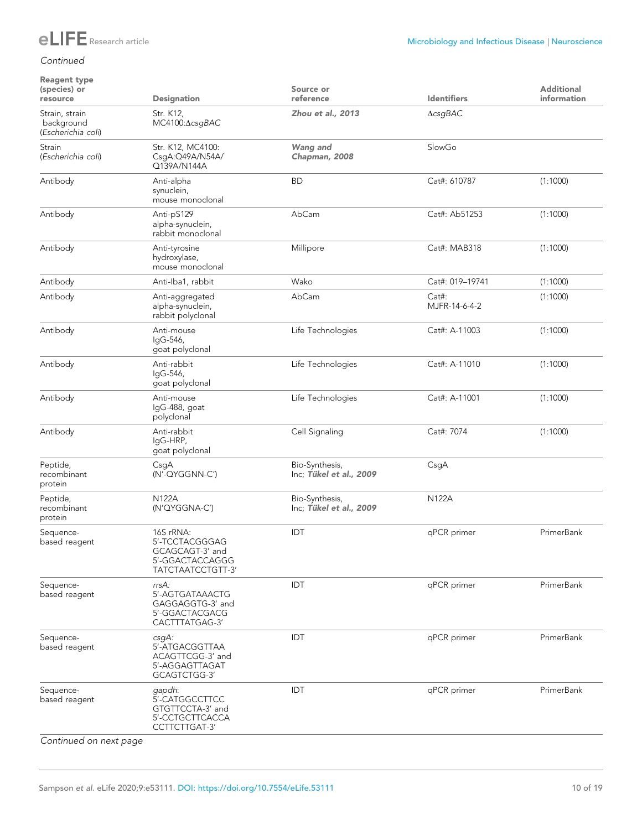

#### *Continued*

#### Reagent type (species) or Designation Source or reference and a ldentifiers Additional information Strain, strain background (*Escherichia coli*) Str. K12, MC4100:AcsgBAC Zhou et al., 2013  $\triangle$ csgBAC Strain (*Escherichia coli*) Str. K12, MC4100: CsgA:Q49A/N54A/ Q139A/N144A Wang and Chapman, 2008 SlowGo Antibody Anti-alpha synuclein, mouse monoclonal BD Cat#: 610787 (1:1000) Antibody Anti-pS129 alpha-synuclein, rabbit monoclonal AbCam Cat#: Ab51253 (1:1000) Antibody Anti-tyrosine hydroxylase, mouse monoclonal Millipore Cat#: MAB318 (1:1000) Antibody Anti-Iba1, rabbit Wako Cat#: 019–19741 (1:1000) Antibody Anti-aggregated alpha-synuclein, rabbit polyclonal AbCam Cat#: MJFR-14-6-4-2 (1:1000) Antibody Anti-mouse IgG-546, goat polyclonal Life Technologies Cat#: A-11003 (1:1000) Antibody Anti-rabbit IgG-546, goat polyclonal Life Technologies Cat#: A-11010 (1:1000) Antibody Anti-mouse IgG-488, goat polyclonal Life Technologies Cat#: A-11001 (1:1000) Antibody Anti-rabbit IgG-HRP, goat polyclonal Cell Signaling Cat#: 7074 (1:1000) Peptide, recombinant protein CsgA (N'-QYGGNN-C') Bio-Synthesis, Inc; Tükel et al., 2009 CsgA Peptide, recombinant protein N122A (N'QYGGNA-C') Bio-Synthesis, Inc; Tükel et al., 2009 N122A Sequencebased reagent 16S rRNA: 5'-TCCTACGGGAG GCAGCAGT-3' and 5'-GGACTACCAGGG TATCTAATCCTGTT-3' IDT qPCR primer PrimerBank Sequencebased reagent *rrsA:* 5'-AGTGATAAACTG GAGGAGGTG-3' and 5'-GGACTACGACG CACTTTATGAG-3' IDT qPCR primer PrimerBank Sequencebased reagent *csgA:* 5'-ATGACGGTTAA ACAGTTCGG-3' and 5'-AGGAGTTAGAT GCAGTCTGG-3' IDT qPCR primer PrimerBank Sequencebased reagent *gapdh*: 5'-CATGGCCTTCC GTGTTCCTA-3' and 5'-CCTGCTTCACCA CCTTCTTGAT-3' IDT extending the primer primer primer PrimerBank

*Continued on next page*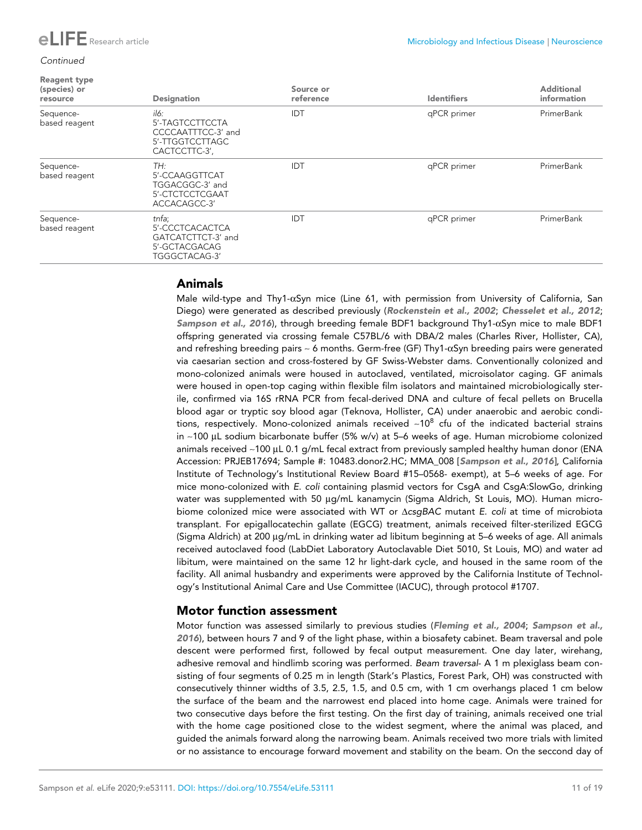#### *Continued*

| <b>Reagent type</b><br>(species) or<br>resource | <b>Designation</b>                                                                | Source or<br>reference | <b>Identifiers</b> | <b>Additional</b><br>information |
|-------------------------------------------------|-----------------------------------------------------------------------------------|------------------------|--------------------|----------------------------------|
| Sequence-<br>based reagent                      | il6:<br>5'-TAGTCCTTCCTA<br>CCCCAATTTCC-3' and<br>5'-TTGGTCCTTAGC<br>CACTCCTTC-3', | IDT                    | qPCR primer        | PrimerBank                       |
| Sequence-<br>based reagent                      | TH:<br>5'-CCAAGGTTCAT<br>TGGACGGC-3' and<br>5'-CTCTCCTCGAAT<br>ACCACAGCC-3'       | IDT                    | qPCR primer        | PrimerBank                       |
| Sequence-<br>based reagent                      | tnfa;<br>5'-CCCTCACACTCA<br>GATCATCTTCT-3' and<br>5'-GCTACGACAG<br>TGGGCTACAG-3'  | <b>IDT</b>             | qPCR primer        | PrimerBank                       |

## Animals

Male wild-type and Thy1- $\alpha$ Syn mice (Line 61, with permission from University of California, San Diego) were generated as described previously (Rockenstein et al., 2002; Chesselet et al., 2012; Sampson et al., 2016), through breeding female BDF1 background Thy1- $\alpha$ Syn mice to male BDF1 offspring generated via crossing female C57BL/6 with DBA/2 males (Charles River, Hollister, CA), and refreshing breeding pairs  $\sim$  6 months. Germ-free (GF) Thy1- $\alpha$ Syn breeding pairs were generated via caesarian section and cross-fostered by GF Swiss-Webster dams. Conventionally colonized and mono-colonized animals were housed in autoclaved, ventilated, microisolator caging. GF animals were housed in open-top caging within flexible film isolators and maintained microbiologically sterile, confirmed via 16S rRNA PCR from fecal-derived DNA and culture of fecal pellets on Brucella blood agar or tryptic soy blood agar (Teknova, Hollister, CA) under anaerobic and aerobic conditions, respectively. Mono-colonized animals received  ${\sim}10^8$  cfu of the indicated bacterial strains in  $~100$  µL sodium bicarbonate buffer (5% w/v) at 5–6 weeks of age. Human microbiome colonized animals received ~100 µL 0.1 g/mL fecal extract from previously sampled healthy human donor (ENA Accession: PRJEB17694; Sample #: 10483.donor2.HC; MMA\_008 [Sampson et al., 2016], California Institute of Technology's Institutional Review Board #15–0568- exempt), at 5–6 weeks of age. For mice mono-colonized with *E. coli* containing plasmid vectors for CsgA and CsgA:SlowGo, drinking water was supplemented with 50 µg/mL kanamycin (Sigma Aldrich, St Louis, MO). Human microbiome colonized mice were associated with WT or  $\triangle$ csqBAC mutant *E. coli* at time of microbiota transplant. For epigallocatechin gallate (EGCG) treatment, animals received filter-sterilized EGCG (Sigma Aldrich) at 200 µg/mL in drinking water ad libitum beginning at 5–6 weeks of age. All animals received autoclaved food (LabDiet Laboratory Autoclavable Diet 5010, St Louis, MO) and water ad libitum, were maintained on the same 12 hr light-dark cycle, and housed in the same room of the facility. All animal husbandry and experiments were approved by the California Institute of Technology's Institutional Animal Care and Use Committee (IACUC), through protocol #1707.

## Motor function assessment

Motor function was assessed similarly to previous studies (Fleming et al., 2004; Sampson et al., 2016), between hours 7 and 9 of the light phase, within a biosafety cabinet. Beam traversal and pole descent were performed first, followed by fecal output measurement. One day later, wirehang, adhesive removal and hindlimb scoring was performed. *Beam traversal*- A 1 m plexiglass beam consisting of four segments of 0.25 m in length (Stark's Plastics, Forest Park, OH) was constructed with consecutively thinner widths of 3.5, 2.5, 1.5, and 0.5 cm, with 1 cm overhangs placed 1 cm below the surface of the beam and the narrowest end placed into home cage. Animals were trained for two consecutive days before the first testing. On the first day of training, animals received one trial with the home cage positioned close to the widest segment, where the animal was placed, and guided the animals forward along the narrowing beam. Animals received two more trials with limited or no assistance to encourage forward movement and stability on the beam. On the seccond day of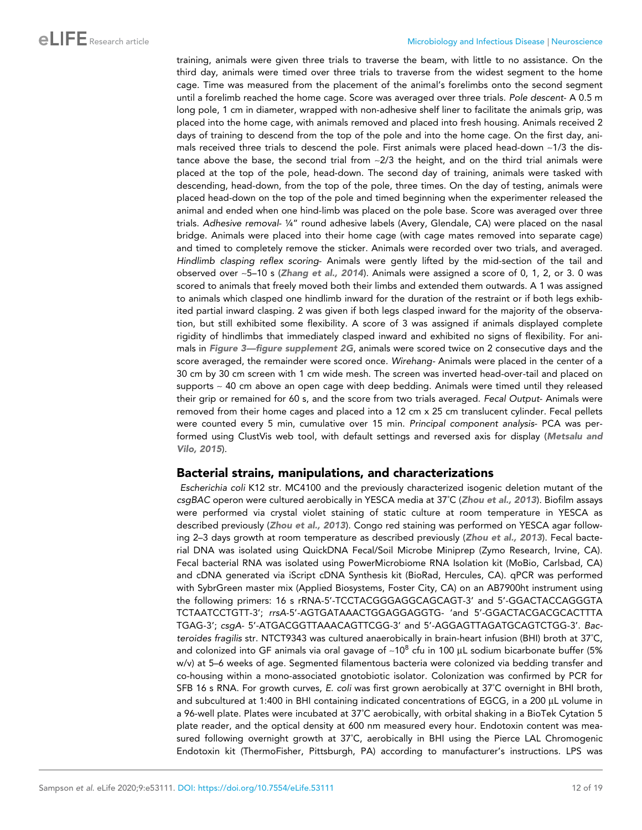## eLFE Research article Microbiology and Infectious Disease | Neuroscience

training, animals were given three trials to traverse the beam, with little to no assistance. On the third day, animals were timed over three trials to traverse from the widest segment to the home cage. Time was measured from the placement of the animal's forelimbs onto the second segment until a forelimb reached the home cage. Score was averaged over three trials. *Pole descent*- A 0.5 m long pole, 1 cm in diameter, wrapped with non-adhesive shelf liner to facilitate the animals grip, was placed into the home cage, with animals removed and placed into fresh housing. Animals received 2 days of training to descend from the top of the pole and into the home cage. On the first day, animals received three trials to descend the pole. First animals were placed head-down ~1/3 the distance above the base, the second trial from  $\sim$ 2/3 the height, and on the third trial animals were placed at the top of the pole, head-down. The second day of training, animals were tasked with descending, head-down, from the top of the pole, three times. On the day of testing, animals were placed head-down on the top of the pole and timed beginning when the experimenter released the animal and ended when one hind-limb was placed on the pole base. Score was averaged over three trials. *Adhesive removal*- ¼" round adhesive labels (Avery, Glendale, CA) were placed on the nasal bridge. Animals were placed into their home cage (with cage mates removed into separate cage) and timed to completely remove the sticker. Animals were recorded over two trials, and averaged. *Hindlimb clasping reflex scoring*- Animals were gently lifted by the mid-section of the tail and observed over ~5–10 s (Zhang et al., 2014). Animals were assigned a score of 0, 1, 2, or 3. 0 was scored to animals that freely moved both their limbs and extended them outwards. A 1 was assigned to animals which clasped one hindlimb inward for the duration of the restraint or if both legs exhibited partial inward clasping. 2 was given if both legs clasped inward for the majority of the observation, but still exhibited some flexibility. A score of 3 was assigned if animals displayed complete rigidity of hindlimbs that immediately clasped inward and exhibited no signs of flexibility. For animals in Figure 3—figure supplement 2G, animals were scored twice on 2 consecutive days and the score averaged, the remainder were scored once. *Wirehang-* Animals were placed in the center of a 30 cm by 30 cm screen with 1 cm wide mesh. The screen was inverted head-over-tail and placed on supports  $\sim$  40 cm above an open cage with deep bedding. Animals were timed until they released their grip or remained for 60 s, and the score from two trials averaged. *Fecal Output*- Animals were removed from their home cages and placed into a 12 cm x 25 cm translucent cylinder. Fecal pellets were counted every 5 min, cumulative over 15 min. *Principal component analysis*- PCA was performed using ClustVis web tool, with default settings and reversed axis for display (Metsalu and Vilo, 2015).

#### Bacterial strains, manipulations, and characterizations

*Escherichia coli* K12 str. MC4100 and the previously characterized isogenic deletion mutant of the *csgBAC* operon were cultured aerobically in YESCA media at 37˚C (Zhou et al., 2013). Biofilm assays were performed via crystal violet staining of static culture at room temperature in YESCA as described previously (Zhou et al., 2013). Congo red staining was performed on YESCA agar following 2-3 days growth at room temperature as described previously (Zhou et al., 2013). Fecal bacterial DNA was isolated using QuickDNA Fecal/Soil Microbe Miniprep (Zymo Research, Irvine, CA). Fecal bacterial RNA was isolated using PowerMicrobiome RNA Isolation kit (MoBio, Carlsbad, CA) and cDNA generated via iScript cDNA Synthesis kit (BioRad, Hercules, CA). qPCR was performed with SybrGreen master mix (Applied Biosystems, Foster City, CA) on an AB7900ht instrument using the following primers: 16 s rRNA-5'-TCCTACGGGAGGCAGCAGT-3' and 5'-GGACTACCAGGGTA TCTAATCCTGTT-3'; *rrsA*-5'-AGTGATAAACTGGAGGAGGTG- 'and 5'-GGACTACGACGCACTTTA TGAG-3'; *csgA*- 5'-ATGACGGTTAAACAGTTCGG-3' and 5'-AGGAGTTAGATGCAGTCTGG-3'. *Bacteroides fragilis* str. NTCT9343 was cultured anaerobically in brain-heart infusion (BHI) broth at 37˚C, and colonized into GF animals via oral gavage of ~10 $^{\rm 8}$  cfu in 100  $\rm \mu L$  sodium bicarbonate buffer (5% w/v) at 5–6 weeks of age. Segmented filamentous bacteria were colonized via bedding transfer and co-housing within a mono-associated gnotobiotic isolator. Colonization was confirmed by PCR for SFB 16 s RNA. For growth curves, *E. coli* was first grown aerobically at 37˚C overnight in BHI broth, and subcultured at 1:400 in BHI containing indicated concentrations of EGCG, in a 200 µL volume in a 96-well plate. Plates were incubated at 37˚C aerobically, with orbital shaking in a BioTek Cytation 5 plate reader, and the optical density at 600 nm measured every hour. Endotoxin content was measured following overnight growth at 37˚C, aerobically in BHI using the Pierce LAL Chromogenic Endotoxin kit (ThermoFisher, Pittsburgh, PA) according to manufacturer's instructions. LPS was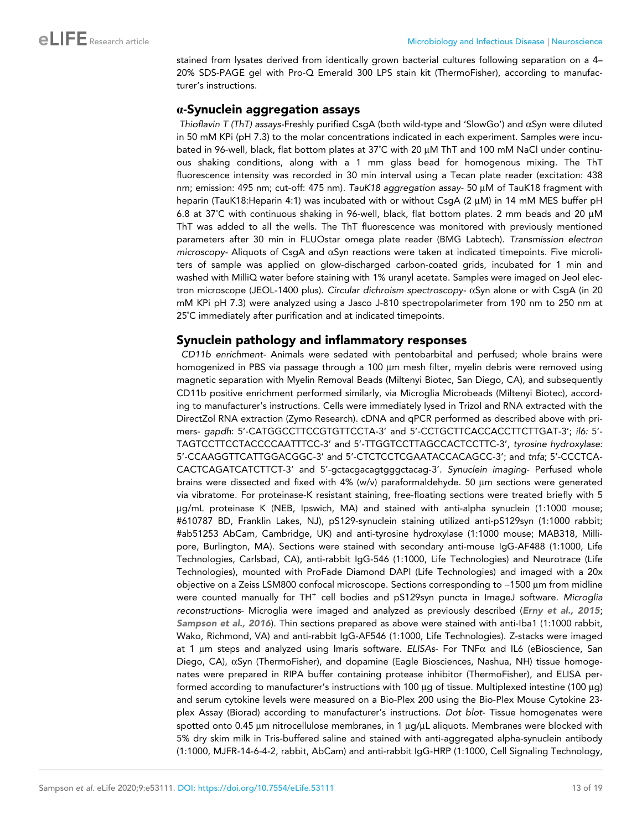stained from lysates derived from identically grown bacterial cultures following separation on a 4– 20% SDS-PAGE gel with Pro-Q Emerald 300 LPS stain kit (ThermoFisher), according to manufacturer's instructions.

#### a-Synuclein aggregation assays

*Thioflavin T (ThT) assays-*Freshly purified CsgA (both wild-type and 'SlowGo') and aSyn were diluted in 50 mM KPi (pH 7.3) to the molar concentrations indicated in each experiment. Samples were incubated in 96-well, black, flat bottom plates at 37°C with 20 µM ThT and 100 mM NaCl under continuous shaking conditions, along with a 1 mm glass bead for homogenous mixing. The ThT fluorescence intensity was recorded in 30 min interval using a Tecan plate reader (excitation: 438 nm; emission: 495 nm; cut-off: 475 nm). *TauK18 aggregation assay*- 50 µM of TauK18 fragment with heparin (TauK18:Heparin 4:1) was incubated with or without CsgA (2  $\mu$ M) in 14 mM MES buffer pH 6.8 at 37°C with continuous shaking in 96-well, black, flat bottom plates. 2 mm beads and 20 µM ThT was added to all the wells. The ThT fluorescence was monitored with previously mentioned parameters after 30 min in FLUOstar omega plate reader (BMG Labtech). *Transmission electron microscopy-* Aliquots of CsgA and aSyn reactions were taken at indicated timepoints. Five microliters of sample was applied on glow-discharged carbon-coated grids, incubated for 1 min and washed with MilliQ water before staining with 1% uranyl acetate. Samples were imaged on Jeol electron microscope (JEOL-1400 plus). *Circular dichroism spectroscopy-* aSyn alone or with CsgA (in 20 mM KPi pH 7.3) were analyzed using a Jasco J-810 spectropolarimeter from 190 nm to 250 nm at 25˚C immediately after purification and at indicated timepoints.

## Synuclein pathology and inflammatory responses

*CD11b enrichment-* Animals were sedated with pentobarbital and perfused; whole brains were homogenized in PBS via passage through a 100 µm mesh filter, myelin debris were removed using magnetic separation with Myelin Removal Beads (Miltenyi Biotec, San Diego, CA), and subsequently CD11b positive enrichment performed similarly, via Microglia Microbeads (Miltenyi Biotec), according to manufacturer's instructions. Cells were immediately lysed in Trizol and RNA extracted with the DirectZol RNA extraction (Zymo Research). cDNA and qPCR performed as described above with primers- *gapdh*: 5'-CATGGCCTTCCGTGTTCCTA-3' and 5'-CCTGCTTCACCACCTTCTTGAT-3'; *il6:* 5'- TAGTCCTTCCTACCCCAATTTCC-3' and 5'-TTGGTCCTTAGCCACTCCTTC-3', *tyrosine hydroxylase:* 5'-CCAAGGTTCATTGGACGGC-3' and 5'-CTCTCCTCGAATACCACAGCC-3'; and *tnfa*; 5'-CCCTCA-CACTCAGATCATCTTCT-3' and 5'-gctacgacagtgggctacag-3'. *Synuclein imaging*- Perfused whole brains were dissected and fixed with 4% (w/v) paraformaldehyde. 50 µm sections were generated via vibratome. For proteinase-K resistant staining, free-floating sections were treated briefly with 5 mg/mL proteinase K (NEB, Ipswich, MA) and stained with anti-alpha synuclein (1:1000 mouse; #610787 BD, Franklin Lakes, NJ), pS129-synuclein staining utilized anti-pS129syn (1:1000 rabbit; #ab51253 AbCam, Cambridge, UK) and anti-tyrosine hydroxylase (1:1000 mouse; MAB318, Millipore, Burlington, MA). Sections were stained with secondary anti-mouse IgG-AF488 (1:1000, Life Technologies, Carlsbad, CA), anti-rabbit IgG-546 (1:1000, Life Technologies) and Neurotrace (Life Technologies), mounted with ProFade Diamond DAPI (Life Technologies) and imaged with a 20x objective on a Zeiss LSM800 confocal microscope. Sections corresponding to  $\sim$ 1500  $\mu$ m from midline were counted manually for TH<sup>+</sup> cell bodies and pS129syn puncta in ImageJ software. *Microglia reconstructions*- Microglia were imaged and analyzed as previously described (Erny et al., 2015; Sampson et al., 2016). Thin sections prepared as above were stained with anti-Iba1 (1:1000 rabbit, Wako, Richmond, VA) and anti-rabbit IgG-AF546 (1:1000, Life Technologies). Z-stacks were imaged at 1 μm steps and analyzed using Imaris software. *ELISAs*- For TNFα and IL6 (eBioscience, San Diego, CA), aSyn (ThermoFisher), and dopamine (Eagle Biosciences, Nashua, NH) tissue homogenates were prepared in RIPA buffer containing protease inhibitor (ThermoFisher), and ELISA performed according to manufacturer's instructions with 100 µg of tissue. Multiplexed intestine (100 µg) and serum cytokine levels were measured on a Bio-Plex 200 using the Bio-Plex Mouse Cytokine 23 plex Assay (Biorad) according to manufacturer's instructions. *Dot blot*- Tissue homogenates were spotted onto 0.45  $\mu$ m nitrocellulose membranes, in 1  $\mu$ g/ $\mu$ L aliquots. Membranes were blocked with 5% dry skim milk in Tris-buffered saline and stained with anti-aggregated alpha-synuclein antibody (1:1000, MJFR-14-6-4-2, rabbit, AbCam) and anti-rabbit IgG-HRP (1:1000, Cell Signaling Technology,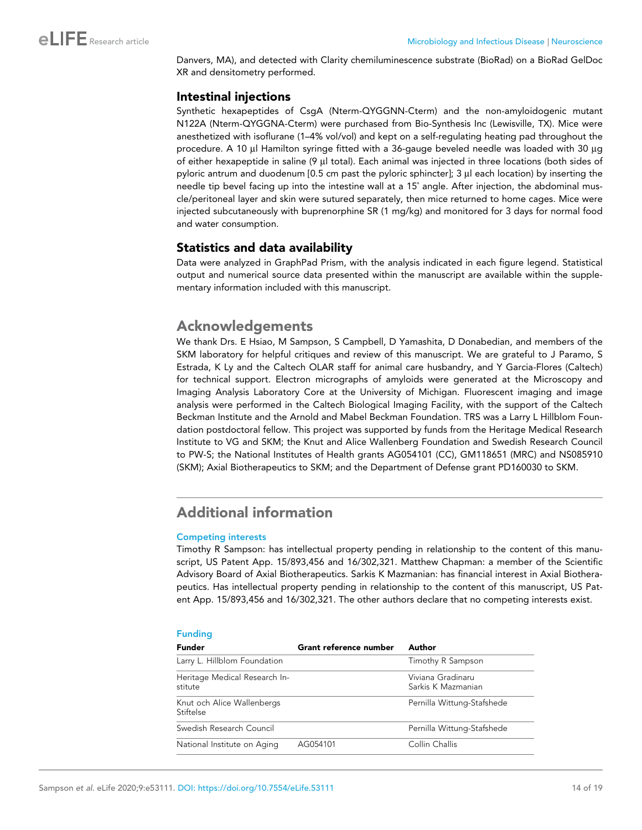Danvers, MA), and detected with Clarity chemiluminescence substrate (BioRad) on a BioRad GelDoc XR and densitometry performed.

## Intestinal injections

Synthetic hexapeptides of CsgA (Nterm-QYGGNN-Cterm) and the non-amyloidogenic mutant N122A (Nterm-QYGGNA-Cterm) were purchased from Bio-Synthesis Inc (Lewisville, TX). Mice were anesthetized with isoflurane (1–4% vol/vol) and kept on a self-regulating heating pad throughout the procedure. A 10 µl Hamilton syringe fitted with a 36-gauge beveled needle was loaded with 30 µg of either hexapeptide in saline (9 µl total). Each animal was injected in three locations (both sides of pyloric antrum and duodenum [0.5 cm past the pyloric sphincter]; 3 µl each location) by inserting the needle tip bevel facing up into the intestine wall at a 15˚ angle. After injection, the abdominal muscle/peritoneal layer and skin were sutured separately, then mice returned to home cages. Mice were injected subcutaneously with buprenorphine SR (1 mg/kg) and monitored for 3 days for normal food and water consumption.

## Statistics and data availability

Data were analyzed in GraphPad Prism, with the analysis indicated in each figure legend. Statistical output and numerical source data presented within the manuscript are available within the supplementary information included with this manuscript.

## Acknowledgements

We thank Drs. E Hsiao, M Sampson, S Campbell, D Yamashita, D Donabedian, and members of the SKM laboratory for helpful critiques and review of this manuscript. We are grateful to J Paramo, S Estrada, K Ly and the Caltech OLAR staff for animal care husbandry, and Y Garcia-Flores (Caltech) for technical support. Electron micrographs of amyloids were generated at the Microscopy and Imaging Analysis Laboratory Core at the University of Michigan. Fluorescent imaging and image analysis were performed in the Caltech Biological Imaging Facility, with the support of the Caltech Beckman Institute and the Arnold and Mabel Beckman Foundation. TRS was a Larry L Hillblom Foundation postdoctoral fellow. This project was supported by funds from the Heritage Medical Research Institute to VG and SKM; the Knut and Alice Wallenberg Foundation and Swedish Research Council to PW-S; the National Institutes of Health grants AG054101 (CC), GM118651 (MRC) and NS085910 (SKM); Axial Biotherapeutics to SKM; and the Department of Defense grant PD160030 to SKM.

## Additional information

#### Competing interests

Timothy R Sampson: has intellectual property pending in relationship to the content of this manuscript, US Patent App. 15/893,456 and 16/302,321. Matthew Chapman: a member of the Scientific Advisory Board of Axial Biotherapeutics. Sarkis K Mazmanian: has financial interest in Axial Biotherapeutics. Has intellectual property pending in relationship to the content of this manuscript, US Patent App. 15/893,456 and 16/302,321. The other authors declare that no competing interests exist.

| <b>Funding</b>                           |                        |                                         |
|------------------------------------------|------------------------|-----------------------------------------|
| <b>Funder</b>                            | Grant reference number | Author                                  |
| Larry L. Hillblom Foundation             |                        | Timothy R Sampson                       |
| Heritage Medical Research In-<br>stitute |                        | Viviana Gradinaru<br>Sarkis K Mazmanian |
| Knut och Alice Wallenbergs<br>Stiftelse  |                        | Pernilla Wittung-Stafshede              |
| Swedish Research Council                 |                        | Pernilla Wittung-Stafshede              |
| National Institute on Aging              | AG054101               | Collin Challis                          |

#### Funding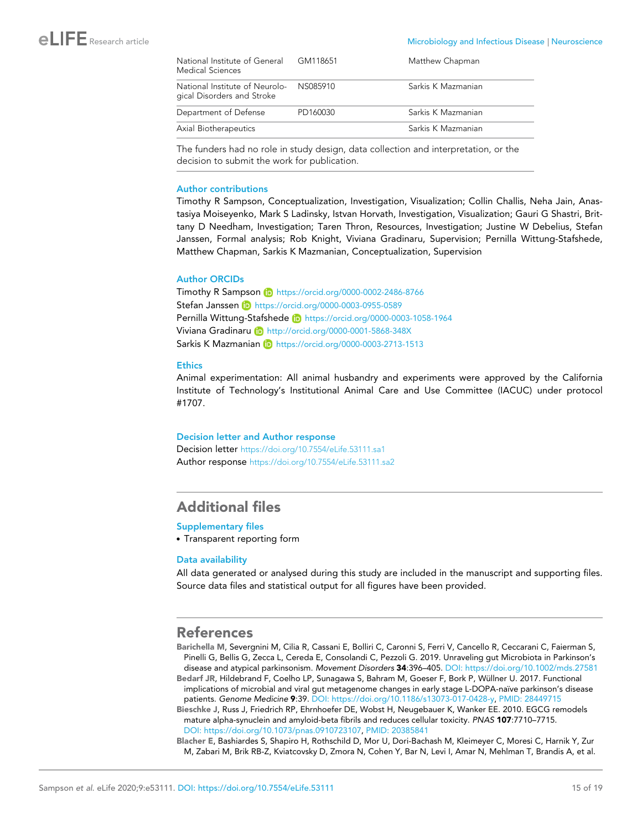| National Institute of General<br>Medical Sciences                     | GM118651 | Matthew Chapman    |
|-----------------------------------------------------------------------|----------|--------------------|
| National Institute of Neurolo- NS085910<br>gical Disorders and Stroke |          | Sarkis K Mazmanian |
| Department of Defense                                                 | PD160030 | Sarkis K Mazmanian |
| Axial Biotherapeutics                                                 |          | Sarkis K Mazmanian |

The funders had no role in study design, data collection and interpretation, or the decision to submit the work for publication.

#### Author contributions

Timothy R Sampson, Conceptualization, Investigation, Visualization; Collin Challis, Neha Jain, Anastasiya Moiseyenko, Mark S Ladinsky, Istvan Horvath, Investigation, Visualization; Gauri G Shastri, Brittany D Needham, Investigation; Taren Thron, Resources, Investigation; Justine W Debelius, Stefan Janssen, Formal analysis; Rob Knight, Viviana Gradinaru, Supervision; Pernilla Wittung-Stafshede, Matthew Chapman, Sarkis K Mazmanian, Conceptualization, Supervision

#### Author ORCIDs

Timothy R Sampson (D https://orcid.org/0000-0002-2486-8766 Stefan Janssen (D https://orcid.org/0000-0003-0955-0589 Pernilla Wittung-Stafshede **iD** https://orcid.org/0000-0003-1058-1964 Viviana Gradinaru **b** http://orcid.org/0000-0001-5868-348X Sarkis K Mazmanian iD https://orcid.org/0000-0003-2713-1513

#### **Ethics**

Animal experimentation: All animal husbandry and experiments were approved by the California Institute of Technology's Institutional Animal Care and Use Committee (IACUC) under protocol #1707.

#### Decision letter and Author response

Decision letter https://doi.org/10.7554/eLife.53111.sa1 Author response https://doi.org/10.7554/eLife.53111.sa2

## Additional files

#### Supplementary files

. Transparent reporting form

#### Data availability

All data generated or analysed during this study are included in the manuscript and supporting files. Source data files and statistical output for all figures have been provided.

#### References

- Barichella M, Severgnini M, Cilia R, Cassani E, Bolliri C, Caronni S, Ferri V, Cancello R, Ceccarani C, Faierman S, Pinelli G, Bellis G, Zecca L, Cereda E, Consolandi C, Pezzoli G. 2019. Unraveling gut Microbiota in Parkinson's disease and atypical parkinsonism. *Movement Disorders* 34:396–405. DOI: https://doi.org/10.1002/mds.27581
- Bedarf JR, Hildebrand F, Coelho LP, Sunagawa S, Bahram M, Goeser F, Bork P, Wüllner U. 2017. Functional implications of microbial and viral qut metagenome changes in early stage L-DOPA-naïve parkinson's disease patients. *Genome Medicine* 9:39. DOI: https://doi.org/10.1186/s13073-017-0428-y, PMID: 28449715
- Bieschke J, Russ J, Friedrich RP, Ehrnhoefer DE, Wobst H, Neugebauer K, Wanker EE. 2010. EGCG remodels mature alpha-synuclein and amyloid-beta fibrils and reduces cellular toxicity. *PNAS* 107:7710–7715. DOI: https://doi.org/10.1073/pnas.0910723107, PMID: 20385841
- Blacher E, Bashiardes S, Shapiro H, Rothschild D, Mor U, Dori-Bachash M, Kleimeyer C, Moresi C, Harnik Y, Zur M, Zabari M, Brik RB-Z, Kviatcovsky D, Zmora N, Cohen Y, Bar N, Levi I, Amar N, Mehlman T, Brandis A, et al.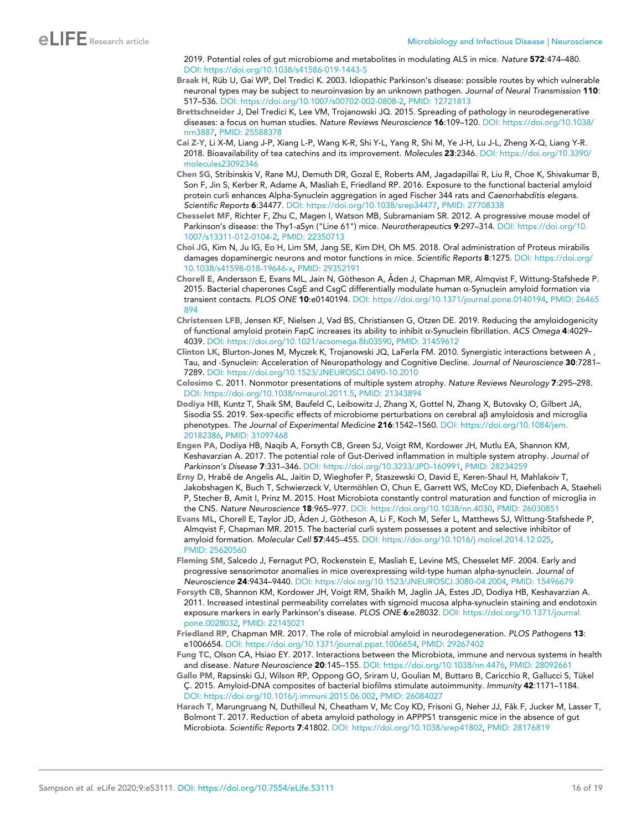2019. Potential roles of gut microbiome and metabolites in modulating ALS in mice. *Nature* 572:474–480. DOI: https://doi.org/10.1038/s41586-019-1443-5

- Braak H, Rüb U, Gai WP, Del Tredici K. 2003. Idiopathic Parkinson's disease: possible routes by which vulnerable neuronal types may be subject to neuroinvasion by an unknown pathogen. *Journal of Neural Transmission* 110: 517–536. DOI: https://doi.org/10.1007/s00702-002-0808-2, PMID: 12721813
- Brettschneider J, Del Tredici K, Lee VM, Trojanowski JQ. 2015. Spreading of pathology in neurodegenerative diseases: a focus on human studies. *Nature Reviews Neuroscience* 16:109–120. DOI: https://doi.org/10.1038/ nrn3887, PMID: 25588378
- Cai Z-Y, Li X-M, Liang J-P, Xiang L-P, Wang K-R, Shi Y-L, Yang R, Shi M, Ye J-H, Lu J-L, Zheng X-Q, Liang Y-R. 2018. Bioavailability of tea catechins and its improvement. *Molecules* 23:2346. DOI: https://doi.org/10.3390/ molecules23092346
- Chen SG, Stribinskis V, Rane MJ, Demuth DR, Gozal E, Roberts AM, Jagadapillai R, Liu R, Choe K, Shivakumar B, Son F, Jin S, Kerber R, Adame A, Masliah E, Friedland RP. 2016. Exposure to the functional bacterial amyloid protein curli enhances Alpha-Synuclein aggregation in aged Fischer 344 rats and *Caenorhabditis elegans*. *Scientific Reports* 6:34477. DOI: https://doi.org/10.1038/srep34477, PMID: 27708338
- Chesselet MF, Richter F, Zhu C, Magen I, Watson MB, Subramaniam SR. 2012. A progressive mouse model of Parkinson's disease: the Thy1-aSyn ("Line 61") mice. *Neurotherapeutics* 9:297–314. DOI: https://doi.org/10. 1007/s13311-012-0104-2, PMID: 22350713
- Choi JG, Kim N, Ju IG, Eo H, Lim SM, Jang SE, Kim DH, Oh MS. 2018. Oral administration of Proteus mirabilis damages dopaminergic neurons and motor functions in mice. *Scientific Reports* 8:1275. DOI: https://doi.org/ 10.1038/s41598-018-19646-x, PMID: 29352191
- Chorell E, Andersson E, Evans ML, Jain N, Götheson A, Åden J, Chapman MR, Almqvist F, Wittung-Stafshede P. 2015. Bacterial chaperones CsgE and CsgC differentially modulate human a-Synuclein amyloid formation via transient contacts. *PLOS ONE* 10:e0140194. DOI: https://doi.org/10.1371/journal.pone.0140194, PMID: 26465 894
- Christensen LFB, Jensen KF, Nielsen J, Vad BS, Christiansen G, Otzen DE. 2019. Reducing the amyloidogenicity of functional amyloid protein FapC increases its ability to inhibit a-Synuclein fibrillation. *ACS Omega* 4:4029– 4039. DOI: https://doi.org/10.1021/acsomega.8b03590, PMID: 31459612
- Clinton LK, Blurton-Jones M, Myczek K, Trojanowski JQ, LaFerla FM. 2010. Synergistic interactions between A , Tau, and -Synuclein: Acceleration of Neuropathology and Cognitive Decline. *Journal of Neuroscience* 30:7281– 7289. DOI: https://doi.org/10.1523/JNEUROSCI.0490-10.2010
- Colosimo C. 2011. Nonmotor presentations of multiple system atrophy. *Nature Reviews Neurology* 7:295–298. DOI: https://doi.org/10.1038/nrneurol.2011.5, PMID: 21343894
- Dodiya HB, Kuntz T, Shaik SM, Baufeld C, Leibowitz J, Zhang X, Gottel N, Zhang X, Butovsky O, Gilbert JA, Sisodia SS. 2019. Sex-specific effects of microbiome perturbations on cerebral ab amyloidosis and microglia phenotypes. *The Journal of Experimental Medicine* 216:1542–1560. DOI: https://doi.org/10.1084/jem. 20182386, PMID: 31097468
- Engen PA, Dodiya HB, Naqib A, Forsyth CB, Green SJ, Voigt RM, Kordower JH, Mutlu EA, Shannon KM, Keshavarzian A. 2017. The potential role of Gut-Derived inflammation in multiple system atrophy. *Journal of Parkinson's Disease* 7:331–346. DOI: https://doi.org/10.3233/JPD-160991, PMID: 28234259
- Erny D, Hrabě de Angelis AL, Jaitin D, Wieghofer P, Staszewski O, David E, Keren-Shaul H, Mahlakoiv T, Jakobshagen K, Buch T, Schwierzeck V, Utermöhlen O, Chun E, Garrett WS, McCoy KD, Diefenbach A, Staeheli P, Stecher B, Amit I, Prinz M. 2015. Host Microbiota constantly control maturation and function of microglia in the CNS. *Nature Neuroscience* 18:965–977. DOI: https://doi.org/10.1038/nn.4030, PMID: 26030851
- Evans ML, Chorell E, Taylor JD, Åden J, Götheson A, Li F, Koch M, Sefer L, Matthews SJ, Wittung-Stafshede P, Almqvist F, Chapman MR. 2015. The bacterial curli system possesses a potent and selective inhibitor of amyloid formation. *Molecular Cell* 57:445–455. DOI: https://doi.org/10.1016/j.molcel.2014.12.025, PMID: 25620560
- Fleming SM, Salcedo J, Fernagut PO, Rockenstein E, Masliah E, Levine MS, Chesselet MF. 2004. Early and progressive sensorimotor anomalies in mice overexpressing wild-type human alpha-synuclein. *Journal of Neuroscience* 24:9434–9440. DOI: https://doi.org/10.1523/JNEUROSCI.3080-04.2004, PMID: 15496679
- Forsyth CB, Shannon KM, Kordower JH, Voigt RM, Shaikh M, Jaglin JA, Estes JD, Dodiya HB, Keshavarzian A. 2011. Increased intestinal permeability correlates with sigmoid mucosa alpha-synuclein staining and endotoxin exposure markers in early Parkinson's disease. *PLOS ONE* 6:e28032. DOI: https://doi.org/10.1371/journal. pone.0028032, PMID: 22145021
- Friedland RP, Chapman MR. 2017. The role of microbial amyloid in neurodegeneration. *PLOS Pathogens* 13: e1006654. DOI: https://doi.org/10.1371/journal.ppat.1006654, PMID: 29267402
- Fung TC, Olson CA, Hsiao EY. 2017. Interactions between the Microbiota, immune and nervous systems in health and disease. *Nature Neuroscience* 20:145–155. DOI: https://doi.org/10.1038/nn.4476, PMID: 28092661
- Gallo PM, Rapsinski GJ, Wilson RP, Oppong GO, Sriram U, Goulian M, Buttaro B, Caricchio R, Gallucci S, Tükel C¸ . 2015. Amyloid-DNA composites of bacterial biofilms stimulate autoimmunity. *Immunity* 42:1171–1184. DOI: https://doi.org/10.1016/j.immuni.2015.06.002, PMID: 26084027
- Harach T, Marungruang N, Duthilleul N, Cheatham V, Mc Coy KD, Frisoni G, Neher JJ, Fåk F, Jucker M, Lasser T, Bolmont T. 2017. Reduction of abeta amyloid pathology in APPPS1 transgenic mice in the absence of gut Microbiota. *Scientific Reports* 7:41802. DOI: https://doi.org/10.1038/srep41802, PMID: 28176819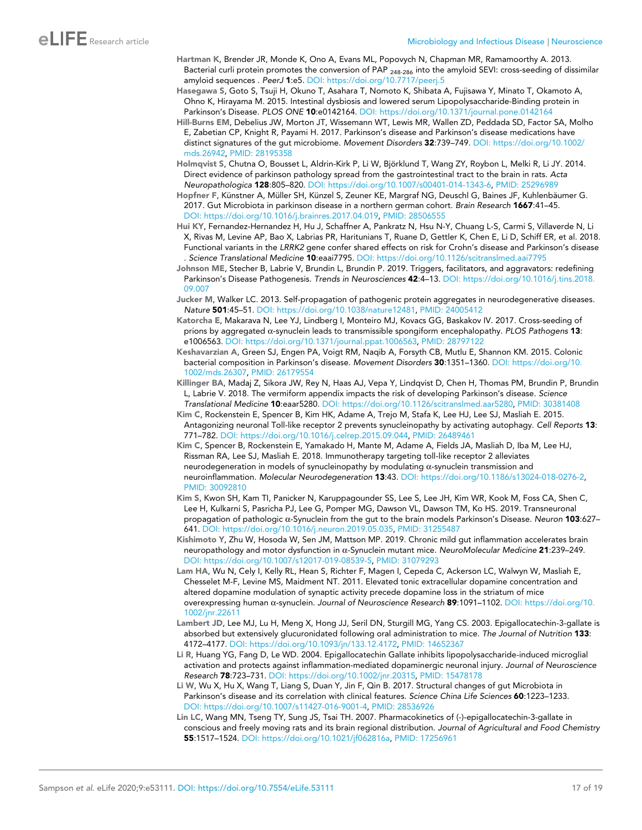- Hartman K, Brender JR, Monde K, Ono A, Evans ML, Popovych N, Chapman MR, Ramamoorthy A. 2013. Bacterial curli protein promotes the conversion of PAP <sub>248-286</sub> into the amyloid SEVI: cross-seeding of dissimilar amyloid sequences . *PeerJ* 1:e5. DOI: https://doi.org/10.7717/peerj.5
- Hasegawa S, Goto S, Tsuji H, Okuno T, Asahara T, Nomoto K, Shibata A, Fujisawa Y, Minato T, Okamoto A, Ohno K, Hirayama M. 2015. Intestinal dysbiosis and lowered serum Lipopolysaccharide-Binding protein in Parkinson's Disease. *PLOS ONE* 10:e0142164. DOI: https://doi.org/10.1371/journal.pone.0142164
- Hill-Burns EM, Debelius JW, Morton JT, Wissemann WT, Lewis MR, Wallen ZD, Peddada SD, Factor SA, Molho E, Zabetian CP, Knight R, Payami H. 2017. Parkinson's disease and Parkinson's disease medications have distinct signatures of the gut microbiome. *Movement Disorders* 32:739–749. DOI: https://doi.org/10.1002/ mds.26942, PMID: 28195358
- Holmqvist S, Chutna O, Bousset L, Aldrin-Kirk P, Li W, Björklund T, Wang ZY, Roybon L, Melki R, Li JY. 2014. Direct evidence of parkinson pathology spread from the gastrointestinal tract to the brain in rats. *Acta Neuropathologica* 128:805–820. DOI: https://doi.org/10.1007/s00401-014-1343-6, PMID: 25296989
- Hopfner F, Künstner A, Müller SH, Künzel S, Zeuner KE, Margraf NG, Deuschl G, Baines JF, Kuhlenbäumer G. 2017. Gut Microbiota in parkinson disease in a northern german cohort. *Brain Research* 1667:41–45. DOI: https://doi.org/10.1016/j.brainres.2017.04.019, PMID: 28506555
- Hui KY, Fernandez-Hernandez H, Hu J, Schaffner A, Pankratz N, Hsu N-Y, Chuang L-S, Carmi S, Villaverde N, Li X, Rivas M, Levine AP, Bao X, Labrias PR, Haritunians T, Ruane D, Gettler K, Chen E, Li D, Schiff ER, et al. 2018. Functional variants in the *LRRK2* gene confer shared effects on risk for Crohn's disease and Parkinson's disease . *Science Translational Medicine* 10:eaai7795. DOI: https://doi.org/10.1126/scitranslmed.aai7795
- Johnson ME, Stecher B, Labrie V, Brundin L, Brundin P. 2019. Triggers, facilitators, and aggravators: redefining Parkinson's Disease Pathogenesis. *Trends in Neurosciences* 42:4–13. DOI: https://doi.org/10.1016/j.tins.2018. 09.007
- Jucker M, Walker LC. 2013. Self-propagation of pathogenic protein aggregates in neurodegenerative diseases. *Nature* 501:45–51. DOI: https://doi.org/10.1038/nature12481, PMID: 24005412
- Katorcha E, Makarava N, Lee YJ, Lindberg I, Monteiro MJ, Kovacs GG, Baskakov IV. 2017. Cross-seeding of prions by aggregated a-synuclein leads to transmissible spongiform encephalopathy. *PLOS Pathogens* 13: e1006563. DOI: https://doi.org/10.1371/journal.ppat.1006563, PMID: 28797122
- Keshavarzian A, Green SJ, Engen PA, Voigt RM, Naqib A, Forsyth CB, Mutlu E, Shannon KM. 2015. Colonic bacterial composition in Parkinson's disease. *Movement Disorders* 30:1351–1360. DOI: https://doi.org/10. 1002/mds.26307, PMID: 26179554
- Killinger BA, Madaj Z, Sikora JW, Rey N, Haas AJ, Vepa Y, Lindqvist D, Chen H, Thomas PM, Brundin P, Brundin L, Labrie V. 2018. The vermiform appendix impacts the risk of developing Parkinson's disease. *Science Translational Medicine* 10:eaar5280. DOI: https://doi.org/10.1126/scitranslmed.aar5280, PMID: 30381408
- Kim C, Rockenstein E, Spencer B, Kim HK, Adame A, Trejo M, Stafa K, Lee HJ, Lee SJ, Masliah E. 2015. Antagonizing neuronal Toll-like receptor 2 prevents synucleinopathy by activating autophagy. *Cell Reports* 13: 771–782. DOI: https://doi.org/10.1016/j.celrep.2015.09.044, PMID: 26489461
- Kim C, Spencer B, Rockenstein E, Yamakado H, Mante M, Adame A, Fields JA, Masliah D, Iba M, Lee HJ, Rissman RA, Lee SJ, Masliah E. 2018. Immunotherapy targeting toll-like receptor 2 alleviates neurodegeneration in models of synucleinopathy by modulating  $\alpha$ -synuclein transmission and neuroinflammation. *Molecular Neurodegeneration* 13:43. DOI: https://doi.org/10.1186/s13024-018-0276-2, PMID: 30092810
- Kim S, Kwon SH, Kam TI, Panicker N, Karuppagounder SS, Lee S, Lee JH, Kim WR, Kook M, Foss CA, Shen C, Lee H, Kulkarni S, Pasricha PJ, Lee G, Pomper MG, Dawson VL, Dawson TM, Ko HS. 2019. Transneuronal propagation of pathologic a-Synuclein from the gut to the brain models Parkinson's Disease. *Neuron* 103:627– 641. DOI: https://doi.org/10.1016/j.neuron.2019.05.035, PMID: 31255487
- Kishimoto Y, Zhu W, Hosoda W, Sen JM, Mattson MP. 2019. Chronic mild gut inflammation accelerates brain neuropathology and motor dysfunction in a-Synuclein mutant mice. *NeuroMolecular Medicine* 21:239–249. DOI: https://doi.org/10.1007/s12017-019-08539-5, PMID: 31079293
- Lam HA, Wu N, Cely I, Kelly RL, Hean S, Richter F, Magen I, Cepeda C, Ackerson LC, Walwyn W, Masliah E, Chesselet M-F, Levine MS, Maidment NT. 2011. Elevated tonic extracellular dopamine concentration and altered dopamine modulation of synaptic activity precede dopamine loss in the striatum of mice overexpressing human a-synuclein. *Journal of Neuroscience Research* 89:1091–1102. DOI: https://doi.org/10. 1002/jnr.22611
- Lambert JD, Lee MJ, Lu H, Meng X, Hong JJ, Seril DN, Sturgill MG, Yang CS. 2003. Epigallocatechin-3-gallate is absorbed but extensively glucuronidated following oral administration to mice. *The Journal of Nutrition* 133: 4172–4177. DOI: https://doi.org/10.1093/jn/133.12.4172, PMID: 14652367
- Li R, Huang YG, Fang D, Le WD. 2004. Epigallocatechin Gallate inhibits lipopolysaccharide-induced microglial activation and protects against inflammation-mediated dopaminergic neuronal injury. *Journal of Neuroscience Research* 78:723–731. DOI: https://doi.org/10.1002/jnr.20315, PMID: 15478178
- Li W, Wu X, Hu X, Wang T, Liang S, Duan Y, Jin F, Qin B. 2017. Structural changes of gut Microbiota in Parkinson's disease and its correlation with clinical features. *Science China Life Sciences* 60:1223–1233. DOI: https://doi.org/10.1007/s11427-016-9001-4, PMID: 28536926
- Lin LC, Wang MN, Tseng TY, Sung JS, Tsai TH. 2007. Pharmacokinetics of (-)-epigallocatechin-3-gallate in conscious and freely moving rats and its brain regional distribution. *Journal of Agricultural and Food Chemistry* 55:1517–1524. DOI: https://doi.org/10.1021/jf062816a, PMID: 17256961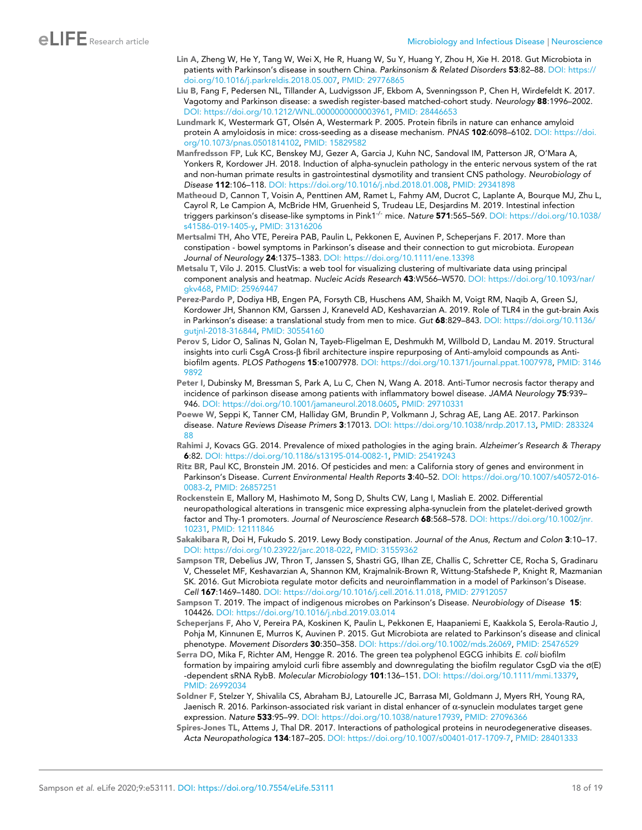- Lin A, Zheng W, He Y, Tang W, Wei X, He R, Huang W, Su Y, Huang Y, Zhou H, Xie H. 2018. Gut Microbiota in patients with Parkinson's disease in southern China. *Parkinsonism & Related Disorders* 53:82–88. DOI: https:// doi.org/10.1016/j.parkreldis.2018.05.007, PMID: 29776865
- Liu B, Fang F, Pedersen NL, Tillander A, Ludvigsson JF, Ekbom A, Svenningsson P, Chen H, Wirdefeldt K. 2017. Vagotomy and Parkinson disease: a swedish register-based matched-cohort study. *Neurology* 88:1996–2002. DOI: https://doi.org/10.1212/WNL.0000000000003961, PMID: 28446653
- Lundmark K, Westermark GT, Olsén A, Westermark P. 2005. Protein fibrils in nature can enhance amyloid protein A amyloidosis in mice: cross-seeding as a disease mechanism. *PNAS* 102:6098–6102. DOI: https://doi. org/10.1073/pnas.0501814102, PMID: 15829582
- Manfredsson FP, Luk KC, Benskey MJ, Gezer A, Garcia J, Kuhn NC, Sandoval IM, Patterson JR, O'Mara A, Yonkers R, Kordower JH. 2018. Induction of alpha-synuclein pathology in the enteric nervous system of the rat and non-human primate results in gastrointestinal dysmotility and transient CNS pathology. *Neurobiology of Disease* 112:106–118. DOI: https://doi.org/10.1016/j.nbd.2018.01.008, PMID: 29341898
- Matheoud D, Cannon T, Voisin A, Penttinen AM, Ramet L, Fahmy AM, Ducrot C, Laplante A, Bourque MJ, Zhu L, Cayrol R, Le Campion A, McBride HM, Gruenheid S, Trudeau LE, Desjardins M. 2019. Intestinal infection triggers parkinson's disease-like symptoms in Pink1-/- mice. *Nature* 571:565–569. DOI: https://doi.org/10.1038/ s41586-019-1405-y, PMID: 31316206
- Mertsalmi TH, Aho VTE, Pereira PAB, Paulin L, Pekkonen E, Auvinen P, Scheperjans F. 2017. More than constipation - bowel symptoms in Parkinson's disease and their connection to gut microbiota. *European Journal of Neurology* 24:1375–1383. DOI: https://doi.org/10.1111/ene.13398
- Metsalu T, Vilo J. 2015. ClustVis: a web tool for visualizing clustering of multivariate data using principal component analysis and heatmap. *Nucleic Acids Research* 43:W566–W570. DOI: https://doi.org/10.1093/nar/ gkv468, PMID: 25969447
- Perez-Pardo P, Dodiya HB, Engen PA, Forsyth CB, Huschens AM, Shaikh M, Voigt RM, Naqib A, Green SJ, Kordower JH, Shannon KM, Garssen J, Kraneveld AD, Keshavarzian A. 2019. Role of TLR4 in the gut-brain Axis in Parkinson's disease: a translational study from men to mice. *Gut* 68:829–843. DOI: https://doi.org/10.1136/ gutjnl-2018-316844, PMID: 30554160
- Perov S, Lidor O, Salinas N, Golan N, Tayeb-Fligelman E, Deshmukh M, Willbold D, Landau M. 2019. Structural insights into curli CsgA Cross-b fibril architecture inspire repurposing of Anti-amyloid compounds as Antibiofilm agents. *PLOS Pathogens* 15:e1007978. DOI: https://doi.org/10.1371/journal.ppat.1007978, PMID: 3146 9892
- Peter I, Dubinsky M, Bressman S, Park A, Lu C, Chen N, Wang A. 2018. Anti-Tumor necrosis factor therapy and incidence of parkinson disease among patients with inflammatory bowel disease. *JAMA Neurology* 75:939– 946. DOI: https://doi.org/10.1001/jamaneurol.2018.0605, PMID: 29710331
- Poewe W, Seppi K, Tanner CM, Halliday GM, Brundin P, Volkmann J, Schrag AE, Lang AE. 2017. Parkinson disease. *Nature Reviews Disease Primers* 3:17013. DOI: https://doi.org/10.1038/nrdp.2017.13, PMID: 283324 88
- Rahimi J, Kovacs GG. 2014. Prevalence of mixed pathologies in the aging brain. *Alzheimer's Research & Therapy* 6:82. DOI: https://doi.org/10.1186/s13195-014-0082-1, PMID: 25419243
- Ritz BR, Paul KC, Bronstein JM. 2016. Of pesticides and men: a California story of genes and environment in Parkinson's Disease. *Current Environmental Health Reports* 3:40–52. DOI: https://doi.org/10.1007/s40572-016- 0083-2, PMID: 26857251
- Rockenstein E, Mallory M, Hashimoto M, Song D, Shults CW, Lang I, Masliah E. 2002. Differential neuropathological alterations in transgenic mice expressing alpha-synuclein from the platelet-derived growth factor and Thy-1 promoters. *Journal of Neuroscience Research* 68:568–578. DOI: https://doi.org/10.1002/jnr. 10231, PMID: 12111846
- Sakakibara R, Doi H, Fukudo S. 2019. Lewy Body constipation. *Journal of the Anus, Rectum and Colon* 3:10–17. DOI: https://doi.org/10.23922/jarc.2018-022, PMID: 31559362
- Sampson TR, Debelius JW, Thron T, Janssen S, Shastri GG, Ilhan ZE, Challis C, Schretter CE, Rocha S, Gradinaru V, Chesselet MF, Keshavarzian A, Shannon KM, Krajmalnik-Brown R, Wittung-Stafshede P, Knight R, Mazmanian SK. 2016. Gut Microbiota regulate motor deficits and neuroinflammation in a model of Parkinson's Disease. *Cell* 167:1469–1480. DOI: https://doi.org/10.1016/j.cell.2016.11.018, PMID: 27912057
- Sampson T. 2019. The impact of indigenous microbes on Parkinson's Disease. *Neurobiology of Disease* 15: 104426. DOI: https://doi.org/10.1016/j.nbd.2019.03.014
- Scheperjans F, Aho V, Pereira PA, Koskinen K, Paulin L, Pekkonen E, Haapaniemi E, Kaakkola S, Eerola-Rautio J, Pohja M, Kinnunen E, Murros K, Auvinen P. 2015. Gut Microbiota are related to Parkinson's disease and clinical phenotype. *Movement Disorders* 30:350–358. DOI: https://doi.org/10.1002/mds.26069, PMID: 25476529
- Serra DO, Mika F, Richter AM, Hengge R. 2016. The green tea polyphenol EGCG inhibits *E. coli* biofilm formation by impairing amyloid curli fibre assembly and downregulating the biofilm regulator CsgD via the  $\sigma(E)$ -dependent sRNA RybB. *Molecular Microbiology* 101:136–151. DOI: https://doi.org/10.1111/mmi.13379, PMID: 26992034
- Soldner F, Stelzer Y, Shivalila CS, Abraham BJ, Latourelle JC, Barrasa MI, Goldmann J, Myers RH, Young RA, Jaenisch R. 2016. Parkinson-associated risk variant in distal enhancer of  $\alpha$ -synuclein modulates target gene expression. *Nature* 533:95–99. DOI: https://doi.org/10.1038/nature17939, PMID: 27096366
- Spires-Jones TL, Attems J, Thal DR. 2017. Interactions of pathological proteins in neurodegenerative diseases. *Acta Neuropathologica* 134:187–205. DOI: https://doi.org/10.1007/s00401-017-1709-7, PMID: 28401333